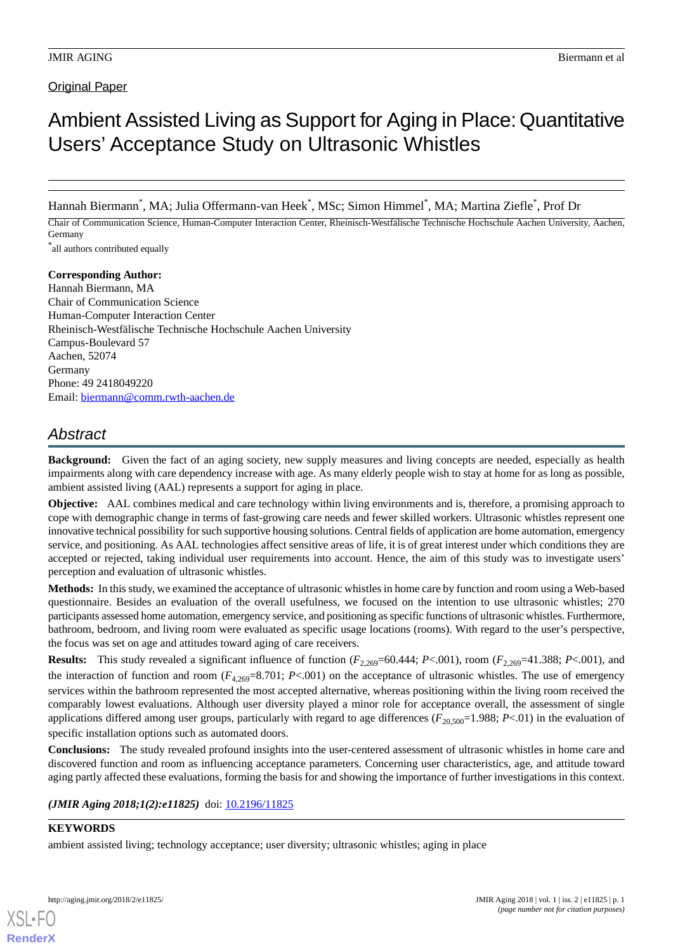## **Original Paper**

# Ambient Assisted Living as Support for Aging in Place: Quantitative Users' Acceptance Study on Ultrasonic Whistles

Hannah Biermann\* , MA; Julia Offermann-van Heek\* , MSc; Simon Himmel\* , MA; Martina Ziefle\* , Prof Dr

Chair of Communication Science, Human-Computer Interaction Center, Rheinisch-Westfälische Technische Hochschule Aachen University, Aachen, Germany

\* all authors contributed equally

## **Corresponding Author:**

Hannah Biermann, MA Chair of Communication Science Human-Computer Interaction Center Rheinisch-Westfälische Technische Hochschule Aachen University Campus-Boulevard 57 Aachen, 52074 Germany Phone: 49 2418049220 Email: [biermann@comm.rwth-aachen.de](mailto:biermann@comm.rwth-aachen.de)

## *Abstract*

**Background:** Given the fact of an aging society, new supply measures and living concepts are needed, especially as health impairments along with care dependency increase with age. As many elderly people wish to stay at home for as long as possible, ambient assisted living (AAL) represents a support for aging in place.

**Objective:** AAL combines medical and care technology within living environments and is, therefore, a promising approach to cope with demographic change in terms of fast-growing care needs and fewer skilled workers. Ultrasonic whistles represent one innovative technical possibility for such supportive housing solutions. Central fields of application are home automation, emergency service, and positioning. As AAL technologies affect sensitive areas of life, it is of great interest under which conditions they are accepted or rejected, taking individual user requirements into account. Hence, the aim of this study was to investigate users' perception and evaluation of ultrasonic whistles.

**Methods:** In this study, we examined the acceptance of ultrasonic whistles in home care by function and room using a Web-based questionnaire. Besides an evaluation of the overall usefulness, we focused on the intention to use ultrasonic whistles; 270 participants assessed home automation, emergency service, and positioning as specific functions of ultrasonic whistles. Furthermore, bathroom, bedroom, and living room were evaluated as specific usage locations (rooms). With regard to the user's perspective, the focus was set on age and attitudes toward aging of care receivers.

**Results:** This study revealed a significant influence of function  $(F_{2,269}=60.444; P<0.001)$ , room  $(F_{2,269}=41.388; P<0.001)$ , and the interaction of function and room  $(F_{4,269}=8.701; P<.001)$  on the acceptance of ultrasonic whistles. The use of emergency services within the bathroom represented the most accepted alternative, whereas positioning within the living room received the comparably lowest evaluations. Although user diversity played a minor role for acceptance overall, the assessment of single applications differed among user groups, particularly with regard to age differences  $(F_{20,500}=1.988; P<.01)$  in the evaluation of specific installation options such as automated doors.

**Conclusions:** The study revealed profound insights into the user-centered assessment of ultrasonic whistles in home care and discovered function and room as influencing acceptance parameters. Concerning user characteristics, age, and attitude toward aging partly affected these evaluations, forming the basis for and showing the importance of further investigations in this context.

## *(JMIR Aging 2018;1(2):e11825)* doi:  $10.2196/11825$

## **KEYWORDS**

ambient assisted living; technology acceptance; user diversity; ultrasonic whistles; aging in place

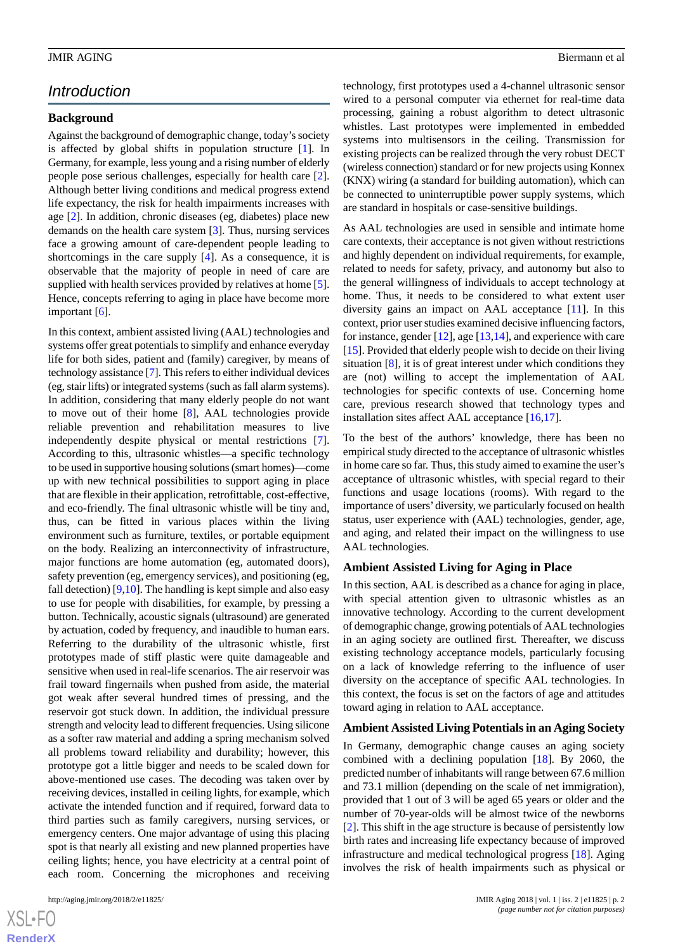## *Introduction*

## **Background**

Against the background of demographic change, today's society is affected by global shifts in population structure [\[1](#page-13-0)]. In Germany, for example, less young and a rising number of elderly people pose serious challenges, especially for health care [[2\]](#page-13-1). Although better living conditions and medical progress extend life expectancy, the risk for health impairments increases with age [[2\]](#page-13-1). In addition, chronic diseases (eg, diabetes) place new demands on the health care system [\[3](#page-13-2)]. Thus, nursing services face a growing amount of care-dependent people leading to shortcomings in the care supply [\[4](#page-13-3)]. As a consequence, it is observable that the majority of people in need of care are supplied with health services provided by relatives at home [[5\]](#page-13-4). Hence, concepts referring to aging in place have become more important [\[6](#page-13-5)].

In this context, ambient assisted living (AAL) technologies and systems offer great potentials to simplify and enhance everyday life for both sides, patient and (family) caregiver, by means of technology assistance [\[7\]](#page-13-6). This refers to either individual devices (eg, stair lifts) or integrated systems (such as fall alarm systems). In addition, considering that many elderly people do not want to move out of their home [\[8](#page-13-7)], AAL technologies provide reliable prevention and rehabilitation measures to live independently despite physical or mental restrictions [[7\]](#page-13-6). According to this, ultrasonic whistles—a specific technology to be used in supportive housing solutions (smart homes)—come up with new technical possibilities to support aging in place that are flexible in their application, retrofittable, cost-effective, and eco-friendly. The final ultrasonic whistle will be tiny and, thus, can be fitted in various places within the living environment such as furniture, textiles, or portable equipment on the body. Realizing an interconnectivity of infrastructure, major functions are home automation (eg, automated doors), safety prevention (eg, emergency services), and positioning (eg, fall detection)  $[9,10]$  $[9,10]$  $[9,10]$ . The handling is kept simple and also easy to use for people with disabilities, for example, by pressing a button. Technically, acoustic signals (ultrasound) are generated by actuation, coded by frequency, and inaudible to human ears. Referring to the durability of the ultrasonic whistle, first prototypes made of stiff plastic were quite damageable and sensitive when used in real-life scenarios. The air reservoir was frail toward fingernails when pushed from aside, the material got weak after several hundred times of pressing, and the reservoir got stuck down. In addition, the individual pressure strength and velocity lead to different frequencies. Using silicone as a softer raw material and adding a spring mechanism solved all problems toward reliability and durability; however, this prototype got a little bigger and needs to be scaled down for above-mentioned use cases. The decoding was taken over by receiving devices, installed in ceiling lights, for example, which activate the intended function and if required, forward data to third parties such as family caregivers, nursing services, or emergency centers. One major advantage of using this placing spot is that nearly all existing and new planned properties have ceiling lights; hence, you have electricity at a central point of each room. Concerning the microphones and receiving

 $XS$  $\cdot$ FC **[RenderX](http://www.renderx.com/)** technology, first prototypes used a 4-channel ultrasonic sensor wired to a personal computer via ethernet for real-time data processing, gaining a robust algorithm to detect ultrasonic whistles. Last prototypes were implemented in embedded systems into multisensors in the ceiling. Transmission for existing projects can be realized through the very robust DECT (wireless connection) standard or for new projects using Konnex (KNX) wiring (a standard for building automation), which can be connected to uninterruptible power supply systems, which are standard in hospitals or case-sensitive buildings.

As AAL technologies are used in sensible and intimate home care contexts, their acceptance is not given without restrictions and highly dependent on individual requirements, for example, related to needs for safety, privacy, and autonomy but also to the general willingness of individuals to accept technology at home. Thus, it needs to be considered to what extent user diversity gains an impact on AAL acceptance [\[11](#page-14-0)]. In this context, prior user studies examined decisive influencing factors, for instance, gender [\[12](#page-14-1)], age [\[13](#page-14-2),[14\]](#page-14-3), and experience with care [[15\]](#page-14-4). Provided that elderly people wish to decide on their living situation [[8\]](#page-13-7), it is of great interest under which conditions they are (not) willing to accept the implementation of AAL technologies for specific contexts of use. Concerning home care, previous research showed that technology types and installation sites affect AAL acceptance [[16,](#page-14-5)[17](#page-14-6)].

To the best of the authors' knowledge, there has been no empirical study directed to the acceptance of ultrasonic whistles in home care so far. Thus, this study aimed to examine the user's acceptance of ultrasonic whistles, with special regard to their functions and usage locations (rooms). With regard to the importance of users'diversity, we particularly focused on health status, user experience with (AAL) technologies, gender, age, and aging, and related their impact on the willingness to use AAL technologies.

## **Ambient Assisted Living for Aging in Place**

In this section, AAL is described as a chance for aging in place, with special attention given to ultrasonic whistles as an innovative technology. According to the current development of demographic change, growing potentials of AAL technologies in an aging society are outlined first. Thereafter, we discuss existing technology acceptance models, particularly focusing on a lack of knowledge referring to the influence of user diversity on the acceptance of specific AAL technologies. In this context, the focus is set on the factors of age and attitudes toward aging in relation to AAL acceptance.

### **Ambient Assisted Living Potentials in an Aging Society**

In Germany, demographic change causes an aging society combined with a declining population [[18\]](#page-14-7). By 2060, the predicted number of inhabitants will range between 67.6 million and 73.1 million (depending on the scale of net immigration), provided that 1 out of 3 will be aged 65 years or older and the number of 70-year-olds will be almost twice of the newborns [[2\]](#page-13-1). This shift in the age structure is because of persistently low birth rates and increasing life expectancy because of improved infrastructure and medical technological progress [\[18](#page-14-7)]. Aging involves the risk of health impairments such as physical or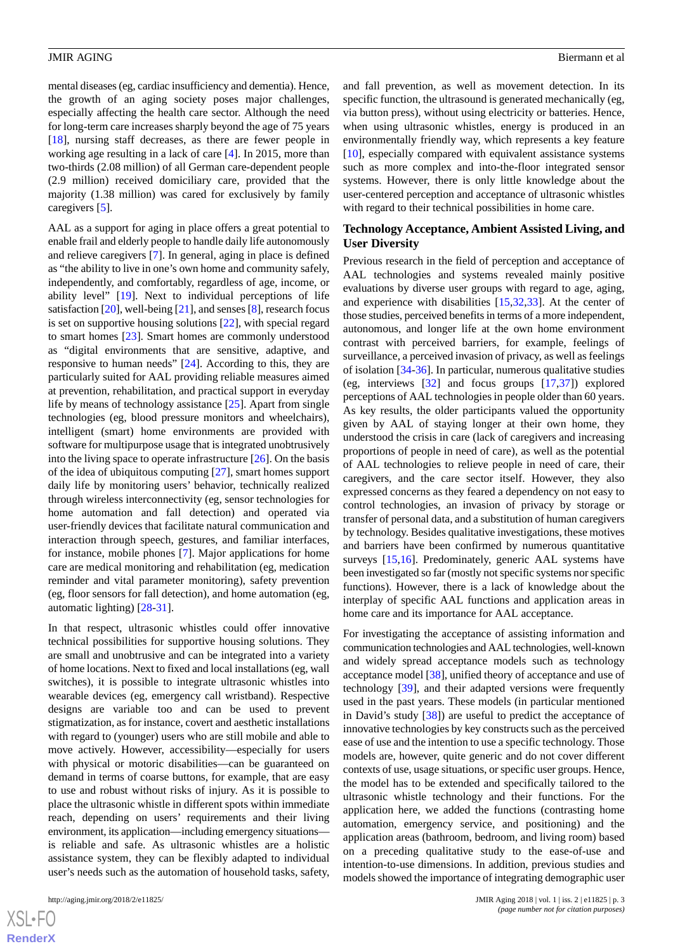mental diseases (eg, cardiac insufficiency and dementia). Hence, the growth of an aging society poses major challenges, especially affecting the health care sector. Although the need for long-term care increases sharply beyond the age of 75 years [[18\]](#page-14-7), nursing staff decreases, as there are fewer people in working age resulting in a lack of care [\[4](#page-13-3)]. In 2015, more than two-thirds (2.08 million) of all German care-dependent people (2.9 million) received domiciliary care, provided that the majority (1.38 million) was cared for exclusively by family caregivers [[5\]](#page-13-4).

AAL as a support for aging in place offers a great potential to enable frail and elderly people to handle daily life autonomously and relieve caregivers [\[7](#page-13-6)]. In general, aging in place is defined as "the ability to live in one's own home and community safely, independently, and comfortably, regardless of age, income, or ability level" [\[19](#page-14-8)]. Next to individual perceptions of life satisfaction [[20\]](#page-14-9), well-being [\[21\]](#page-14-10), and senses [\[8\]](#page-13-7), research focus is set on supportive housing solutions [[22\]](#page-14-11), with special regard to smart homes [\[23](#page-14-12)]. Smart homes are commonly understood as "digital environments that are sensitive, adaptive, and responsive to human needs" [\[24](#page-14-13)]. According to this, they are particularly suited for AAL providing reliable measures aimed at prevention, rehabilitation, and practical support in everyday life by means of technology assistance [\[25](#page-14-14)]. Apart from single technologies (eg, blood pressure monitors and wheelchairs), intelligent (smart) home environments are provided with software for multipurpose usage that is integrated unobtrusively into the living space to operate infrastructure [[26\]](#page-14-15). On the basis of the idea of ubiquitous computing [\[27](#page-14-16)], smart homes support daily life by monitoring users' behavior, technically realized through wireless interconnectivity (eg, sensor technologies for home automation and fall detection) and operated via user-friendly devices that facilitate natural communication and interaction through speech, gestures, and familiar interfaces, for instance, mobile phones [[7](#page-13-6)]. Major applications for home care are medical monitoring and rehabilitation (eg, medication reminder and vital parameter monitoring), safety prevention (eg, floor sensors for fall detection), and home automation (eg, automatic lighting) [[28-](#page-14-17)[31](#page-14-18)].

In that respect, ultrasonic whistles could offer innovative technical possibilities for supportive housing solutions. They are small and unobtrusive and can be integrated into a variety of home locations. Next to fixed and local installations (eg, wall switches), it is possible to integrate ultrasonic whistles into wearable devices (eg, emergency call wristband). Respective designs are variable too and can be used to prevent stigmatization, as for instance, covert and aesthetic installations with regard to (younger) users who are still mobile and able to move actively. However, accessibility—especially for users with physical or motoric disabilities—can be guaranteed on demand in terms of coarse buttons, for example, that are easy to use and robust without risks of injury. As it is possible to place the ultrasonic whistle in different spots within immediate reach, depending on users' requirements and their living environment, its application—including emergency situations is reliable and safe. As ultrasonic whistles are a holistic assistance system, they can be flexibly adapted to individual user's needs such as the automation of household tasks, safety,

and fall prevention, as well as movement detection. In its specific function, the ultrasound is generated mechanically (eg, via button press), without using electricity or batteries. Hence, when using ultrasonic whistles, energy is produced in an environmentally friendly way, which represents a key feature [[10\]](#page-13-9), especially compared with equivalent assistance systems such as more complex and into-the-floor integrated sensor systems. However, there is only little knowledge about the user-centered perception and acceptance of ultrasonic whistles with regard to their technical possibilities in home care.

## **Technology Acceptance, Ambient Assisted Living, and User Diversity**

Previous research in the field of perception and acceptance of AAL technologies and systems revealed mainly positive evaluations by diverse user groups with regard to age, aging, and experience with disabilities [\[15](#page-14-4),[32](#page-14-19)[,33](#page-14-20)]. At the center of those studies, perceived benefits in terms of a more independent, autonomous, and longer life at the own home environment contrast with perceived barriers, for example, feelings of surveillance, a perceived invasion of privacy, as well as feelings of isolation [\[34](#page-14-21)-[36\]](#page-15-0). In particular, numerous qualitative studies (eg, interviews [\[32](#page-14-19)] and focus groups [\[17](#page-14-6),[37\]](#page-15-1)) explored perceptions of AAL technologies in people older than 60 years. As key results, the older participants valued the opportunity given by AAL of staying longer at their own home, they understood the crisis in care (lack of caregivers and increasing proportions of people in need of care), as well as the potential of AAL technologies to relieve people in need of care, their caregivers, and the care sector itself. However, they also expressed concerns as they feared a dependency on not easy to control technologies, an invasion of privacy by storage or transfer of personal data, and a substitution of human caregivers by technology. Besides qualitative investigations, these motives and barriers have been confirmed by numerous quantitative surveys [[15,](#page-14-4)[16](#page-14-5)]. Predominately, generic AAL systems have been investigated so far (mostly not specific systems nor specific functions). However, there is a lack of knowledge about the interplay of specific AAL functions and application areas in home care and its importance for AAL acceptance.

For investigating the acceptance of assisting information and communication technologies and AAL technologies, well-known and widely spread acceptance models such as technology acceptance model [\[38](#page-15-2)], unified theory of acceptance and use of technology [\[39](#page-15-3)], and their adapted versions were frequently used in the past years. These models (in particular mentioned in David's study [[38\]](#page-15-2)) are useful to predict the acceptance of innovative technologies by key constructs such as the perceived ease of use and the intention to use a specific technology. Those models are, however, quite generic and do not cover different contexts of use, usage situations, or specific user groups. Hence, the model has to be extended and specifically tailored to the ultrasonic whistle technology and their functions. For the application here, we added the functions (contrasting home automation, emergency service, and positioning) and the application areas (bathroom, bedroom, and living room) based on a preceding qualitative study to the ease-of-use and intention-to-use dimensions. In addition, previous studies and models showed the importance of integrating demographic user

 $XS$ -FO **[RenderX](http://www.renderx.com/)**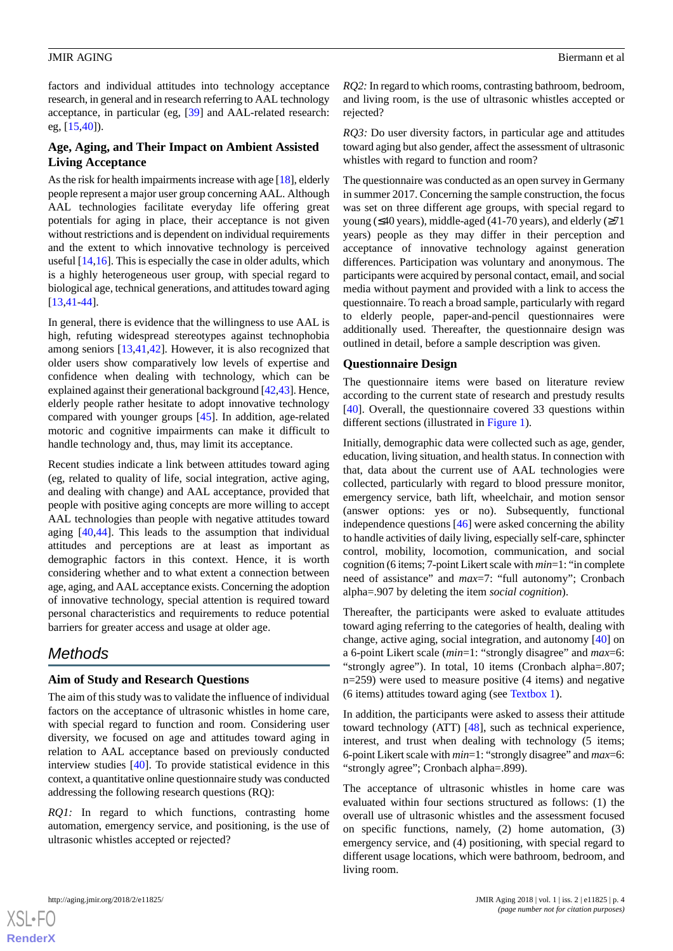factors and individual attitudes into technology acceptance research, in general and in research referring to AAL technology acceptance, in particular (eg, [[39\]](#page-15-3) and AAL-related research: eg, [\[15](#page-14-4),[40\]](#page-15-4)).

## **Age, Aging, and Their Impact on Ambient Assisted Living Acceptance**

As the risk for health impairments increase with age [\[18](#page-14-7)], elderly people represent a major user group concerning AAL. Although AAL technologies facilitate everyday life offering great potentials for aging in place, their acceptance is not given without restrictions and is dependent on individual requirements and the extent to which innovative technology is perceived useful [\[14](#page-14-3),[16\]](#page-14-5). This is especially the case in older adults, which is a highly heterogeneous user group, with special regard to biological age, technical generations, and attitudes toward aging [[13](#page-14-2)[,41](#page-15-5)-[44\]](#page-15-6).

In general, there is evidence that the willingness to use AAL is high, refuting widespread stereotypes against technophobia among seniors [\[13](#page-14-2),[41](#page-15-5)[,42](#page-15-7)]. However, it is also recognized that older users show comparatively low levels of expertise and confidence when dealing with technology, which can be explained against their generational background [\[42](#page-15-7)[,43](#page-15-8)]. Hence, elderly people rather hesitate to adopt innovative technology compared with younger groups [\[45](#page-15-9)]. In addition, age-related motoric and cognitive impairments can make it difficult to handle technology and, thus, may limit its acceptance.

Recent studies indicate a link between attitudes toward aging (eg, related to quality of life, social integration, active aging, and dealing with change) and AAL acceptance, provided that people with positive aging concepts are more willing to accept AAL technologies than people with negative attitudes toward aging [[40,](#page-15-4)[44](#page-15-6)]. This leads to the assumption that individual attitudes and perceptions are at least as important as demographic factors in this context. Hence, it is worth considering whether and to what extent a connection between age, aging, and AAL acceptance exists. Concerning the adoption of innovative technology, special attention is required toward personal characteristics and requirements to reduce potential barriers for greater access and usage at older age.

## *Methods*

## **Aim of Study and Research Questions**

The aim of this study was to validate the influence of individual factors on the acceptance of ultrasonic whistles in home care, with special regard to function and room. Considering user diversity, we focused on age and attitudes toward aging in relation to AAL acceptance based on previously conducted interview studies [\[40](#page-15-4)]. To provide statistical evidence in this context, a quantitative online questionnaire study was conducted addressing the following research questions (RQ):

*RQ1:* In regard to which functions, contrasting home automation, emergency service, and positioning, is the use of ultrasonic whistles accepted or rejected?

*RQ2:* In regard to which rooms, contrasting bathroom, bedroom, and living room, is the use of ultrasonic whistles accepted or rejected?

*RQ3:* Do user diversity factors, in particular age and attitudes toward aging but also gender, affect the assessment of ultrasonic whistles with regard to function and room?

The questionnaire was conducted as an open survey in Germany in summer 2017. Concerning the sample construction, the focus was set on three different age groups, with special regard to young (≤40 years), middle-aged (41-70 years), and elderly (≥71 years) people as they may differ in their perception and acceptance of innovative technology against generation differences. Participation was voluntary and anonymous. The participants were acquired by personal contact, email, and social media without payment and provided with a link to access the questionnaire. To reach a broad sample, particularly with regard to elderly people, paper-and-pencil questionnaires were additionally used. Thereafter, the questionnaire design was outlined in detail, before a sample description was given.

## **Questionnaire Design**

The questionnaire items were based on literature review according to the current state of research and prestudy results [[40\]](#page-15-4). Overall, the questionnaire covered 33 questions within different sections (illustrated in [Figure 1\)](#page-4-0).

Initially, demographic data were collected such as age, gender, education, living situation, and health status. In connection with that, data about the current use of AAL technologies were collected, particularly with regard to blood pressure monitor, emergency service, bath lift, wheelchair, and motion sensor (answer options: yes or no). Subsequently, functional independence questions [\[46](#page-15-10)] were asked concerning the ability to handle activities of daily living, especially self-care, sphincter control, mobility, locomotion, communication, and social cognition (6 items; 7-point Likert scale with *min*=1: "in complete need of assistance" and *max*=7: "full autonomy"; Cronbach alpha=.907 by deleting the item *social cognition*).

Thereafter, the participants were asked to evaluate attitudes toward aging referring to the categories of health, dealing with change, active aging, social integration, and autonomy [[40\]](#page-15-4) on a 6-point Likert scale (*min*=1: "strongly disagree" and *max*=6: "strongly agree"). In total, 10 items (Cronbach alpha=.807; n=259) were used to measure positive (4 items) and negative (6 items) attitudes toward aging (see [Textbox 1\)](#page-4-1).

In addition, the participants were asked to assess their attitude toward technology (ATT) [\[48](#page-15-11)], such as technical experience, interest, and trust when dealing with technology (5 items; 6-point Likert scale with *min*=1: "strongly disagree" and *max*=6: "strongly agree"; Cronbach alpha=.899).

The acceptance of ultrasonic whistles in home care was evaluated within four sections structured as follows: (1) the overall use of ultrasonic whistles and the assessment focused on specific functions, namely, (2) home automation, (3) emergency service, and (4) positioning, with special regard to different usage locations, which were bathroom, bedroom, and living room.

```
XS\cdotFC
RenderX
```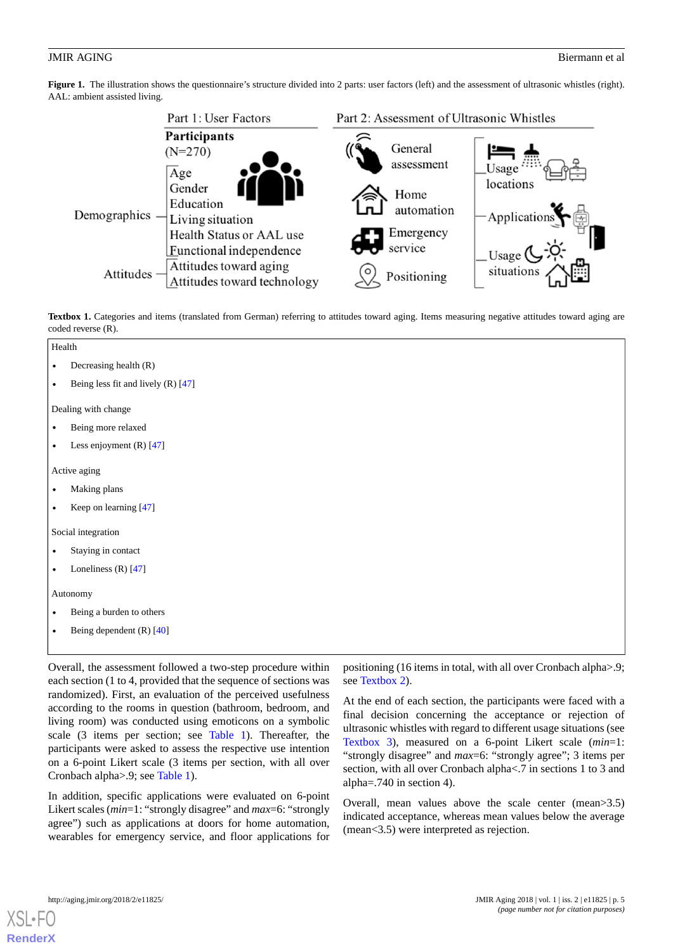<span id="page-4-0"></span>Figure 1. The illustration shows the questionnaire's structure divided into 2 parts: user factors (left) and the assessment of ultrasonic whistles (right). AAL: ambient assisted living.



<span id="page-4-1"></span>Textbox 1. Categories and items (translated from German) referring to attitudes toward aging. Items measuring negative attitudes toward aging are coded reverse (R).

|           | Health                               |  |  |  |
|-----------|--------------------------------------|--|--|--|
| $\bullet$ | Decreasing health (R)                |  |  |  |
| $\bullet$ | Being less fit and lively $(R)$ [47] |  |  |  |
|           | Dealing with change                  |  |  |  |
| $\bullet$ | Being more relaxed                   |  |  |  |
| $\bullet$ | Less enjoyment $(R)$ [47]            |  |  |  |
|           | Active aging                         |  |  |  |
| $\bullet$ | Making plans                         |  |  |  |
| $\bullet$ | Keep on learning [47]                |  |  |  |
|           | Social integration                   |  |  |  |
| $\bullet$ | Staying in contact                   |  |  |  |
| $\bullet$ | Loneliness $(R)$ [47]                |  |  |  |
|           | Autonomy                             |  |  |  |
| $\bullet$ | Being a burden to others             |  |  |  |
| $\bullet$ | Being dependent (R) [40]             |  |  |  |
|           |                                      |  |  |  |

Overall, the assessment followed a two-step procedure within each section (1 to 4, provided that the sequence of sections was randomized). First, an evaluation of the perceived usefulness according to the rooms in question (bathroom, bedroom, and living room) was conducted using emoticons on a symbolic scale (3 items per section; see [Table 1\)](#page-5-0). Thereafter, the participants were asked to assess the respective use intention on a 6-point Likert scale (3 items per section, with all over Cronbach alpha>.9; see [Table 1\)](#page-5-0).

In addition, specific applications were evaluated on 6-point Likert scales (*min*=1: "strongly disagree" and *max*=6: "strongly agree") such as applications at doors for home automation, wearables for emergency service, and floor applications for

positioning (16 items in total, with all over Cronbach alpha>.9; see [Textbox 2\)](#page-5-1).

At the end of each section, the participants were faced with a final decision concerning the acceptance or rejection of ultrasonic whistles with regard to different usage situations (see [Textbox 3](#page-5-2)), measured on a 6-point Likert scale (*min*=1: "strongly disagree" and *max*=6: "strongly agree"; 3 items per section, with all over Cronbach alpha<.7 in sections 1 to 3 and alpha=.740 in section 4).

Overall, mean values above the scale center (mean>3.5) indicated acceptance, whereas mean values below the average (mean<3.5) were interpreted as rejection.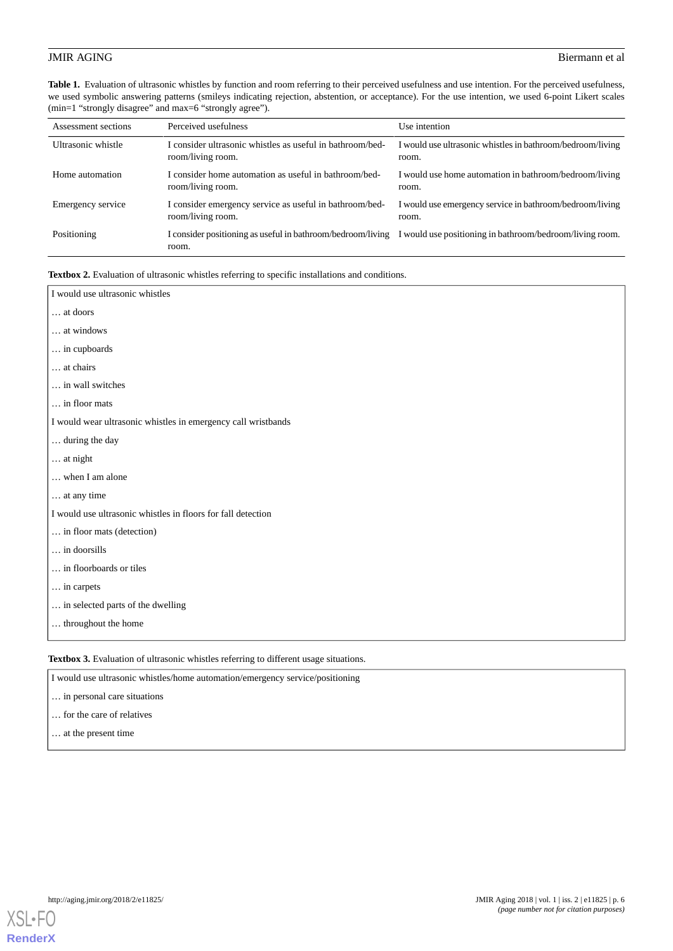<span id="page-5-0"></span>**Table 1.** Evaluation of ultrasonic whistles by function and room referring to their perceived usefulness and use intention. For the perceived usefulness, we used symbolic answering patterns (smileys indicating rejection, abstention, or acceptance). For the use intention, we used 6-point Likert scales (min=1 "strongly disagree" and max=6 "strongly agree").

| Assessment sections | Perceived usefulness                                                           | Use intention                                                                                                        |
|---------------------|--------------------------------------------------------------------------------|----------------------------------------------------------------------------------------------------------------------|
| Ultrasonic whistle  | I consider ultrasonic whistles as useful in bathroom/bed-<br>room/living room. | I would use ultrasonic whistles in bathroom/bedroom/living<br>room.                                                  |
| Home automation     | I consider home automation as useful in bathroom/bed-<br>room/living room.     | I would use home automation in bathroom/bedroom/living<br>room.                                                      |
| Emergency service   | I consider emergency service as useful in bathroom/bed-<br>room/living room.   | I would use emergency service in bathroom/bedroom/living<br>room.                                                    |
| Positioning         | room.                                                                          | I consider positioning as useful in bathroom/bedroom/living I would use positioning in bathroom/bedroom/living room. |

<span id="page-5-1"></span>Textbox 2. Evaluation of ultrasonic whistles referring to specific installations and conditions.

| I would use ultrasonic whistles                                                       |  |  |
|---------------------------------------------------------------------------------------|--|--|
| at doors                                                                              |  |  |
| at windows                                                                            |  |  |
| in cupboards                                                                          |  |  |
| at chairs                                                                             |  |  |
| in wall switches                                                                      |  |  |
| in floor mats                                                                         |  |  |
| I would wear ultrasonic whistles in emergency call wristbands                         |  |  |
| during the day                                                                        |  |  |
| at night                                                                              |  |  |
| when I am alone                                                                       |  |  |
| at any time                                                                           |  |  |
| I would use ultrasonic whistles in floors for fall detection                          |  |  |
| in floor mats (detection)                                                             |  |  |
| in doorsills                                                                          |  |  |
| in floorboards or tiles                                                               |  |  |
| in carpets                                                                            |  |  |
| in selected parts of the dwelling                                                     |  |  |
| throughout the home                                                                   |  |  |
|                                                                                       |  |  |
| Textbox 3. Evaluation of ultrasonic whistles referring to different usage situations. |  |  |

<span id="page-5-2"></span>I would use ultrasonic whistles/home automation/emergency service/positioning

… in personal care situations

… for the care of relatives

… at the present time

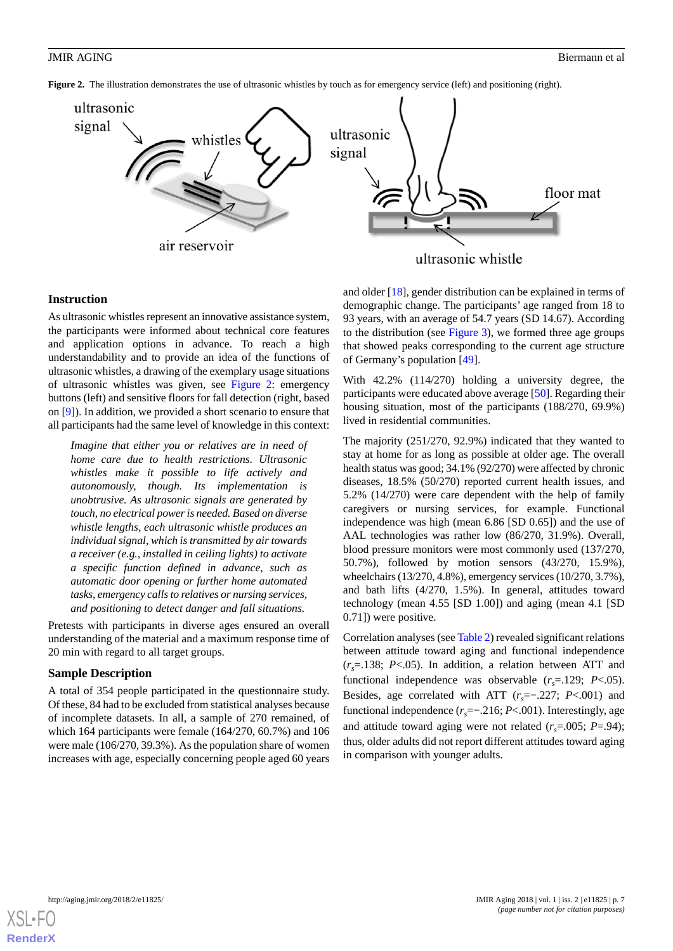<span id="page-6-0"></span>**Figure 2.** The illustration demonstrates the use of ultrasonic whistles by touch as for emergency service (left) and positioning (right).



## **Instruction**

As ultrasonic whistles represent an innovative assistance system, the participants were informed about technical core features and application options in advance. To reach a high understandability and to provide an idea of the functions of ultrasonic whistles, a drawing of the exemplary usage situations of ultrasonic whistles was given, see [Figure 2](#page-6-0): emergency buttons (left) and sensitive floors for fall detection (right, based on [\[9](#page-13-8)]). In addition, we provided a short scenario to ensure that all participants had the same level of knowledge in this context:

*Imagine that either you or relatives are in need of home care due to health restrictions. Ultrasonic whistles make it possible to life actively and autonomously, though. Its implementation is unobtrusive. As ultrasonic signals are generated by touch, no electrical power is needed. Based on diverse whistle lengths, each ultrasonic whistle produces an individual signal, which is transmitted by air towards a receiver (e.g., installed in ceiling lights) to activate a specific function defined in advance, such as automatic door opening or further home automated tasks, emergency calls to relatives or nursing services, and positioning to detect danger and fall situations.*

Pretests with participants in diverse ages ensured an overall understanding of the material and a maximum response time of 20 min with regard to all target groups.

## **Sample Description**

A total of 354 people participated in the questionnaire study. Of these, 84 had to be excluded from statistical analyses because of incomplete datasets. In all, a sample of 270 remained, of which 164 participants were female (164/270, 60.7%) and 106 were male (106/270, 39.3%). As the population share of women increases with age, especially concerning people aged 60 years

and older [\[18](#page-14-7)], gender distribution can be explained in terms of demographic change. The participants' age ranged from 18 to 93 years, with an average of 54.7 years (SD 14.67). According to the distribution (see [Figure 3](#page-7-0)), we formed three age groups that showed peaks corresponding to the current age structure of Germany's population [\[49](#page-15-13)].

With 42.2% (114/270) holding a university degree, the participants were educated above average [\[50](#page-15-14)]. Regarding their housing situation, most of the participants (188/270, 69.9%) lived in residential communities.

The majority (251/270, 92.9%) indicated that they wanted to stay at home for as long as possible at older age. The overall health status was good; 34.1% (92/270) were affected by chronic diseases, 18.5% (50/270) reported current health issues, and 5.2% (14/270) were care dependent with the help of family caregivers or nursing services, for example. Functional independence was high (mean 6.86 [SD 0.65]) and the use of AAL technologies was rather low (86/270, 31.9%). Overall, blood pressure monitors were most commonly used (137/270, 50.7%), followed by motion sensors (43/270, 15.9%), wheelchairs (13/270, 4.8%), emergency services (10/270, 3.7%), and bath lifts (4/270, 1.5%). In general, attitudes toward technology (mean 4.55 [SD 1.00]) and aging (mean 4.1 [SD 0.71]) were positive.

Correlation analyses (see [Table 2\)](#page-7-1) revealed significant relations between attitude toward aging and functional independence (*rs*=.138; *P*<.05). In addition, a relation between ATT and functional independence was observable  $(r<sub>s</sub>=.129; P<.05)$ . Besides, age correlated with ATT (*rs*=−.227; *P*<.001) and functional independence (*rs*=−.216; *P*<.001). Interestingly, age and attitude toward aging were not related  $(r_s = .005; P = .94)$ ; thus, older adults did not report different attitudes toward aging in comparison with younger adults.

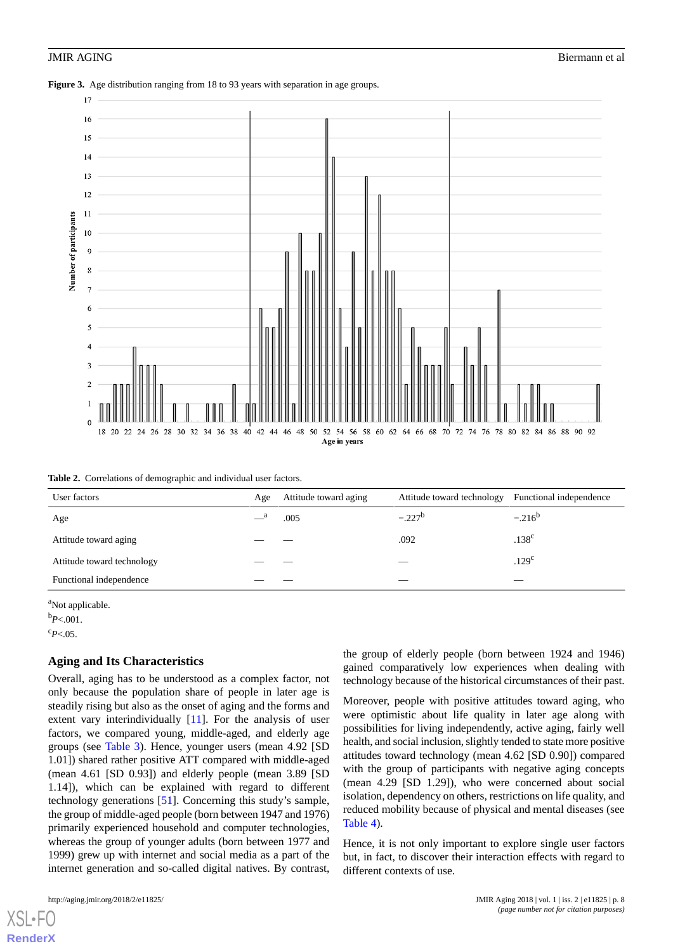### <span id="page-7-0"></span>Figure 3. Age distribution ranging from 18 to 93 years with separation in age groups.



<span id="page-7-1"></span>

| <b>Table 2.</b> Correlations of demographic and individual user factors. |  |
|--------------------------------------------------------------------------|--|
|--------------------------------------------------------------------------|--|

| User factors               | Age | Attitude toward aging | Attitude toward technology | Functional independence |
|----------------------------|-----|-----------------------|----------------------------|-------------------------|
| Age                        |     | .005                  | $-.227^b$                  | $-.216^{b}$             |
| Attitude toward aging      |     |                       | .092                       | .138 <sup>c</sup>       |
| Attitude toward technology |     |                       |                            | .129 <sup>c</sup>       |
| Functional independence    |     |                       |                            |                         |

<sup>a</sup>Not applicable.

 $b_{P<.001}$ .

 $c_{P<.05}$ 

## **Aging and Its Characteristics**

Overall, aging has to be understood as a complex factor, not only because the population share of people in later age is steadily rising but also as the onset of aging and the forms and extent vary interindividually [\[11](#page-14-0)]. For the analysis of user factors, we compared young, middle-aged, and elderly age groups (see [Table 3\)](#page-8-0). Hence, younger users (mean 4.92 [SD 1.01]) shared rather positive ATT compared with middle-aged (mean 4.61 [SD 0.93]) and elderly people (mean 3.89 [SD 1.14]), which can be explained with regard to different technology generations [[51\]](#page-15-15). Concerning this study's sample, the group of middle-aged people (born between 1947 and 1976) primarily experienced household and computer technologies, whereas the group of younger adults (born between 1977 and 1999) grew up with internet and social media as a part of the internet generation and so-called digital natives. By contrast,

[XSL](http://www.w3.org/Style/XSL)•FO **[RenderX](http://www.renderx.com/)**

the group of elderly people (born between 1924 and 1946) gained comparatively low experiences when dealing with technology because of the historical circumstances of their past.

Moreover, people with positive attitudes toward aging, who were optimistic about life quality in later age along with possibilities for living independently, active aging, fairly well health, and social inclusion, slightly tended to state more positive attitudes toward technology (mean 4.62 [SD 0.90]) compared with the group of participants with negative aging concepts (mean 4.29 [SD 1.29]), who were concerned about social isolation, dependency on others, restrictions on life quality, and reduced mobility because of physical and mental diseases (see [Table 4](#page-8-1)).

Hence, it is not only important to explore single user factors but, in fact, to discover their interaction effects with regard to different contexts of use.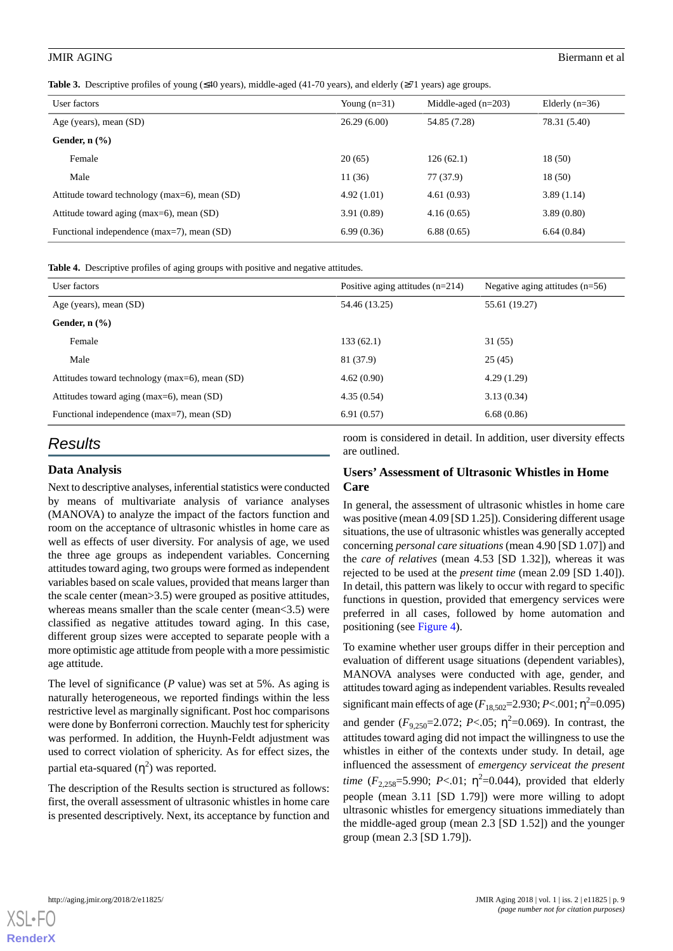<span id="page-8-0"></span>**Table 3.** Descriptive profiles of young (≤40 years), middle-aged (41-70 years), and elderly (≥71 years) age groups.

| User factors                                  | Young $(n=31)$ | Middle-aged $(n=203)$ | Elderly $(n=36)$ |
|-----------------------------------------------|----------------|-----------------------|------------------|
| Age (years), mean (SD)                        | 26.29(6.00)    | 54.85 (7.28)          | 78.31 (5.40)     |
| Gender, $n$ $(\%)$                            |                |                       |                  |
| Female                                        | 20(65)         | 126(62.1)             | 18(50)           |
| Male                                          | 11(36)         | 77 (37.9)             | 18(50)           |
| Attitude toward technology (max=6), mean (SD) | 4.92(1.01)     | 4.61(0.93)            | 3.89(1.14)       |
| Attitude toward aging (max=6), mean (SD)      | 3.91(0.89)     | 4.16(0.65)            | 3.89(0.80)       |
| Functional independence (max=7), mean (SD)    | 6.99(0.36)     | 6.88(0.65)            | 6.64(0.84)       |

<span id="page-8-1"></span>**Table 4.** Descriptive profiles of aging groups with positive and negative attitudes.

| User factors                                   | Positive aging attitudes $(n=214)$ | Negative aging attitudes $(n=56)$ |  |
|------------------------------------------------|------------------------------------|-----------------------------------|--|
| Age (years), mean (SD)                         | 54.46 (13.25)                      | 55.61 (19.27)                     |  |
| Gender, $n$ $\left(\frac{9}{6}\right)$         |                                    |                                   |  |
| Female                                         | 133(62.1)                          | 31(55)                            |  |
| Male                                           | 81 (37.9)                          | 25(45)                            |  |
| Attitudes toward technology (max=6), mean (SD) | 4.62(0.90)                         | 4.29(1.29)                        |  |
| Attitudes toward aging (max=6), mean (SD)      | 4.35(0.54)                         | 3.13(0.34)                        |  |
| Functional independence (max=7), mean (SD)     | 6.91(0.57)                         | 6.68(0.86)                        |  |
|                                                |                                    |                                   |  |

## *Results*

## **Data Analysis**

Next to descriptive analyses, inferential statistics were conducted by means of multivariate analysis of variance analyses (MANOVA) to analyze the impact of the factors function and room on the acceptance of ultrasonic whistles in home care as well as effects of user diversity. For analysis of age, we used the three age groups as independent variables. Concerning attitudes toward aging, two groups were formed as independent variables based on scale values, provided that means larger than the scale center (mean>3.5) were grouped as positive attitudes, whereas means smaller than the scale center (mean < 3.5) were classified as negative attitudes toward aging. In this case, different group sizes were accepted to separate people with a more optimistic age attitude from people with a more pessimistic age attitude.

The level of significance (*P* value) was set at 5%. As aging is naturally heterogeneous, we reported findings within the less restrictive level as marginally significant. Post hoc comparisons were done by Bonferroni correction. Mauchly test for sphericity was performed. In addition, the Huynh-Feldt adjustment was used to correct violation of sphericity. As for effect sizes, the partial eta-squared  $(\eta^2)$  was reported.

The description of the Results section is structured as follows: first, the overall assessment of ultrasonic whistles in home care is presented descriptively. Next, its acceptance by function and room is considered in detail. In addition, user diversity effects are outlined.

## **Users' Assessment of Ultrasonic Whistles in Home Care**

In general, the assessment of ultrasonic whistles in home care was positive (mean 4.09 [SD 1.25]). Considering different usage situations, the use of ultrasonic whistles was generally accepted concerning *personal care situations* (mean 4.90 [SD 1.07]) and the *care of relatives* (mean 4.53 [SD 1.32]), whereas it was rejected to be used at the *present time* (mean 2.09 [SD 1.40]). In detail, this pattern was likely to occur with regard to specific functions in question, provided that emergency services were preferred in all cases, followed by home automation and positioning (see [Figure 4](#page-9-0)).

To examine whether user groups differ in their perception and evaluation of different usage situations (dependent variables), MANOVA analyses were conducted with age, gender, and attitudes toward aging as independent variables. Results revealed significant main effects of age ( $F_{18,502}$ =2.930; *P*<.001;  $\eta$ <sup>2</sup>=0.095) and gender  $(F_{9,250} = 2.072; P < .05; \eta^2 = 0.069)$ . In contrast, the attitudes toward aging did not impact the willingness to use the whistles in either of the contexts under study. In detail, age influenced the assessment of *emergency serviceat the present time*  $(F_{2,258}=5.990; P<.01; \eta^2=0.044)$ , provided that elderly people (mean 3.11 [SD 1.79]) were more willing to adopt ultrasonic whistles for emergency situations immediately than the middle-aged group (mean 2.3 [SD 1.52]) and the younger group (mean 2.3 [SD 1.79]).

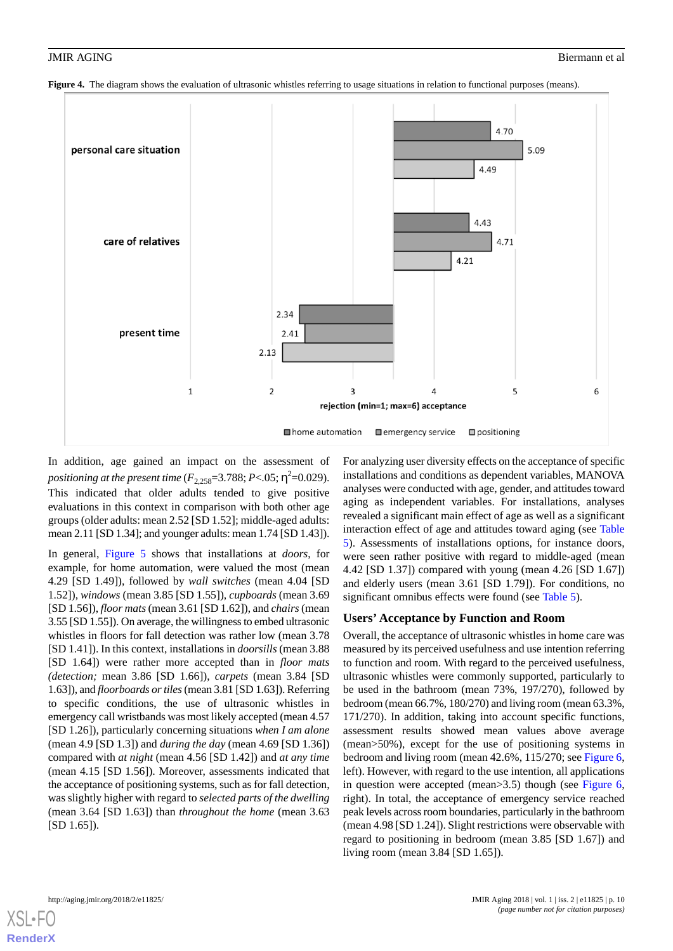<span id="page-9-0"></span>**Figure 4.** The diagram shows the evaluation of ultrasonic whistles referring to usage situations in relation to functional purposes (means).



In addition, age gained an impact on the assessment of positioning at the present time ( $F_{2,258}$ =3.788; P<.05;  $\eta^2$ =0.029). This indicated that older adults tended to give positive evaluations in this context in comparison with both other age groups (older adults: mean 2.52 [SD 1.52]; middle-aged adults: mean 2.11 [SD 1.34]; and younger adults: mean 1.74 [SD 1.43]).

In general, [Figure 5](#page-10-0) shows that installations at *doors*, for example, for home automation, were valued the most (mean 4.29 [SD 1.49]), followed by *wall switches* (mean 4.04 [SD 1.52]), *windows* (mean 3.85 [SD 1.55]), *cupboards* (mean 3.69 [SD 1.56]), *floor mats*(mean 3.61 [SD 1.62]), and *chairs*(mean 3.55 [SD 1.55]). On average, the willingness to embed ultrasonic whistles in floors for fall detection was rather low (mean 3.78 [SD 1.41]). In this context, installations in *doorsills* (mean 3.88 [SD 1.64]) were rather more accepted than in *floor mats (detection;* mean 3.86 [SD 1.66]), *carpets* (mean 3.84 [SD 1.63]), and *floorboards or tiles*(mean 3.81 [SD 1.63]). Referring to specific conditions, the use of ultrasonic whistles in emergency call wristbands was most likely accepted (mean 4.57 [SD 1.26]), particularly concerning situations *when I am alone* (mean 4.9 [SD 1.3]) and *during the day* (mean 4.69 [SD 1.36]) compared with *at night* (mean 4.56 [SD 1.42]) and *at any time* (mean 4.15 [SD 1.56]). Moreover, assessments indicated that the acceptance of positioning systems, such as for fall detection, was slightly higher with regard to *selected parts of the dwelling* (mean 3.64 [SD 1.63]) than *throughout the home* (mean 3.63 [SD 1.65]).

For analyzing user diversity effects on the acceptance of specific installations and conditions as dependent variables, MANOVA analyses were conducted with age, gender, and attitudes toward aging as independent variables. For installations, analyses revealed a significant main effect of age as well as a significant interaction effect of age and attitudes toward aging (see [Table](#page-10-1) [5\)](#page-10-1). Assessments of installations options, for instance doors, were seen rather positive with regard to middle-aged (mean 4.42 [SD 1.37]) compared with young (mean 4.26 [SD 1.67]) and elderly users (mean 3.61 [SD 1.79]). For conditions, no significant omnibus effects were found (see [Table 5\)](#page-10-1).

### **Users' Acceptance by Function and Room**

Overall, the acceptance of ultrasonic whistles in home care was measured by its perceived usefulness and use intention referring to function and room. With regard to the perceived usefulness, ultrasonic whistles were commonly supported, particularly to be used in the bathroom (mean 73%, 197/270), followed by bedroom (mean 66.7%, 180/270) and living room (mean 63.3%, 171/270). In addition, taking into account specific functions, assessment results showed mean values above average (mean>50%), except for the use of positioning systems in bedroom and living room (mean 42.6%, 115/270; see [Figure 6](#page-11-0), left). However, with regard to the use intention, all applications in question were accepted (mean>3.5) though (see [Figure 6](#page-11-0), right). In total, the acceptance of emergency service reached peak levels across room boundaries, particularly in the bathroom (mean 4.98 [SD 1.24]). Slight restrictions were observable with regard to positioning in bedroom (mean 3.85 [SD 1.67]) and living room (mean 3.84 [SD 1.65]).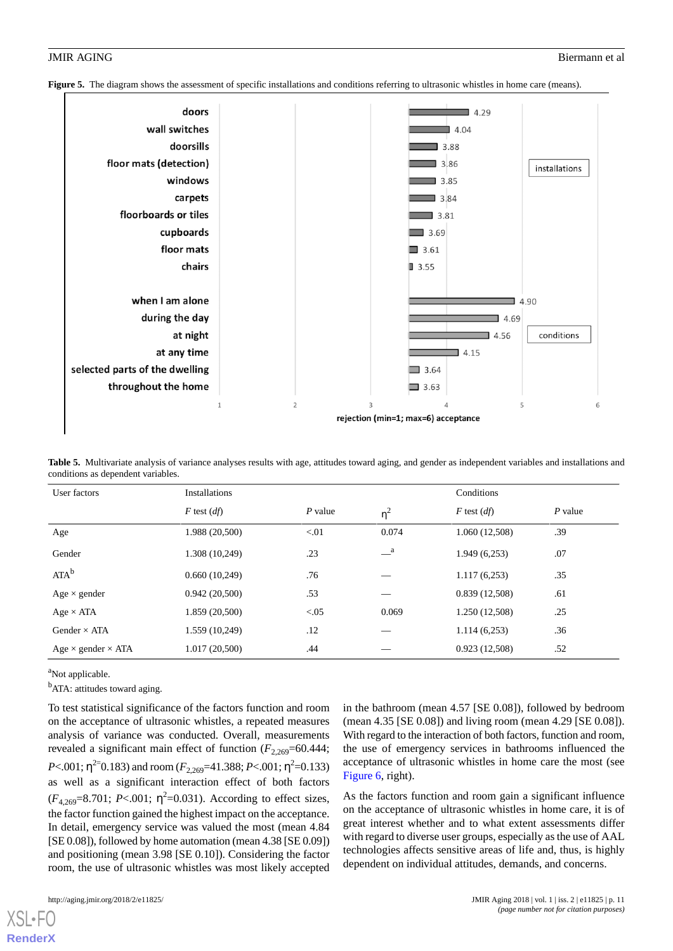<span id="page-10-0"></span>**Figure 5.** The diagram shows the assessment of specific installations and conditions referring to ultrasonic whistles in home care (means).



<span id="page-10-1"></span>Table 5. Multivariate analysis of variance analyses results with age, attitudes toward aging, and gender as independent variables and installations and conditions as dependent variables.

| User factors                   | <b>Installations</b> |           |                       | Conditions      |           |
|--------------------------------|----------------------|-----------|-----------------------|-----------------|-----------|
|                                | $F$ test $(df)$      | $P$ value | $\eta^2$              | $F$ test $(df)$ | $P$ value |
| Age                            | 1.988 (20,500)       | < 01      | 0.074                 | 1.060 (12,508)  | .39       |
| Gender                         | 1.308 (10,249)       | .23       | $\equiv$ <sup>a</sup> | 1.949 (6,253)   | .07       |
| $ATA^b$                        | 0.660(10,249)        | .76       |                       | 1.117(6.253)    | .35       |
| Age $\times$ gender            | 0.942(20,500)        | .53       |                       | 0.839(12,508)   | .61       |
| $Age \times ATA$               | 1.859 (20,500)       | < 0.05    | 0.069                 | 1.250 (12,508)  | .25       |
| Gender $\times$ ATA            | 1.559 (10,249)       | .12       |                       | 1.114(6.253)    | .36       |
| $Age \times gender \times ATA$ | 1.017(20,500)        | .44       |                       | 0.923(12,508)   | .52       |

<sup>a</sup>Not applicable.

<sup>b</sup>ATA: attitudes toward aging.

To test statistical significance of the factors function and room on the acceptance of ultrasonic whistles, a repeated measures analysis of variance was conducted. Overall, measurements revealed a significant main effect of function  $(F_{2,269}=60.444;$ *P*<.001; η<sup>2=</sup>0.183) and room ( $F_{2,269}$ =41.388; *P*<.001; η<sup>2</sup>=0.133) as well as a significant interaction effect of both factors  $(F_{4,269} = 8.701; P < .001; \eta^2 = 0.031)$ . According to effect sizes, the factor function gained the highest impact on the acceptance. In detail, emergency service was valued the most (mean 4.84 [SE 0.08]), followed by home automation (mean 4.38 [SE 0.09]) and positioning (mean 3.98 [SE 0.10]). Considering the factor room, the use of ultrasonic whistles was most likely accepted

in the bathroom (mean 4.57 [SE 0.08]), followed by bedroom (mean 4.35 [SE 0.08]) and living room (mean 4.29 [SE 0.08]). With regard to the interaction of both factors, function and room, the use of emergency services in bathrooms influenced the acceptance of ultrasonic whistles in home care the most (see [Figure 6](#page-11-0), right).

As the factors function and room gain a significant influence on the acceptance of ultrasonic whistles in home care, it is of great interest whether and to what extent assessments differ with regard to diverse user groups, especially as the use of AAL technologies affects sensitive areas of life and, thus, is highly dependent on individual attitudes, demands, and concerns.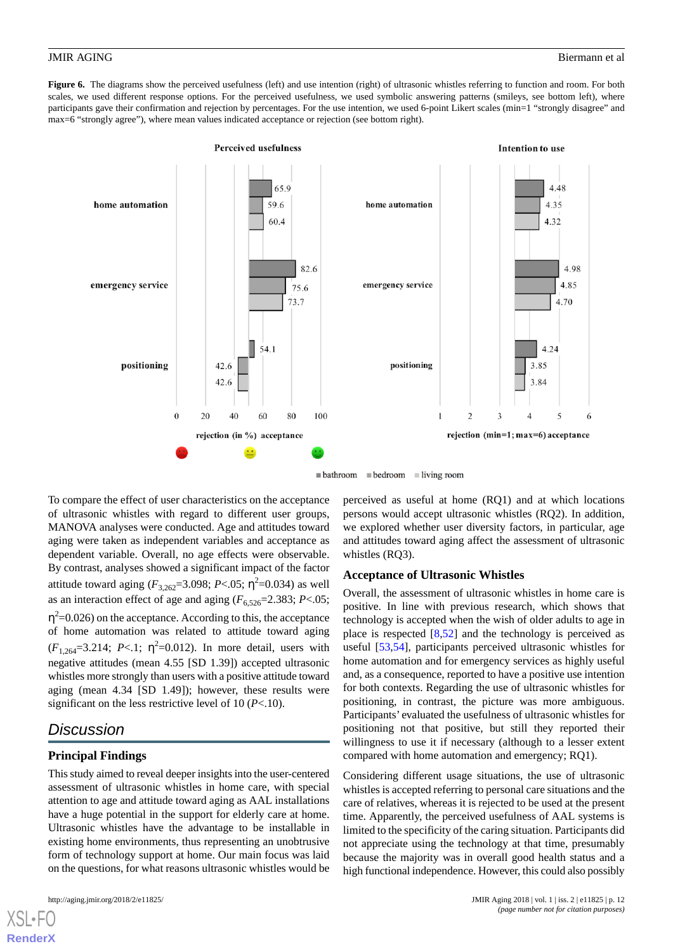<span id="page-11-0"></span>Figure 6. The diagrams show the perceived usefulness (left) and use intention (right) of ultrasonic whistles referring to function and room. For both scales, we used different response options. For the perceived usefulness, we used symbolic answering patterns (smileys, see bottom left), where participants gave their confirmation and rejection by percentages. For the use intention, we used 6-point Likert scales (min=1 "strongly disagree" and max=6 "strongly agree"), where mean values indicated acceptance or rejection (see bottom right).



 $\blacksquare$ bathroom  $\blacksquare$  bedroom  $\blacksquare$  living room

To compare the effect of user characteristics on the acceptance of ultrasonic whistles with regard to different user groups, MANOVA analyses were conducted. Age and attitudes toward aging were taken as independent variables and acceptance as dependent variable. Overall, no age effects were observable. By contrast, analyses showed a significant impact of the factor attitude toward aging  $(F_{3,262}=3.098; P<.05; \eta^2=0.034)$  as well as an interaction effect of age and aging  $(F_{6,526}=2.383; P<.05;$  $\eta^2$ =0.026) on the acceptance. According to this, the acceptance of home automation was related to attitude toward aging  $(F_{1,264}=3.214; P<.1; \eta^2=0.012)$ . In more detail, users with negative attitudes (mean 4.55 [SD 1.39]) accepted ultrasonic whistles more strongly than users with a positive attitude toward aging (mean 4.34 [SD 1.49]); however, these results were significant on the less restrictive level of 10 (*P*<.10).

## *Discussion*

## **Principal Findings**

This study aimed to reveal deeper insights into the user-centered assessment of ultrasonic whistles in home care, with special attention to age and attitude toward aging as AAL installations have a huge potential in the support for elderly care at home. Ultrasonic whistles have the advantage to be installable in existing home environments, thus representing an unobtrusive form of technology support at home. Our main focus was laid on the questions, for what reasons ultrasonic whistles would be

[XSL](http://www.w3.org/Style/XSL)•FO **[RenderX](http://www.renderx.com/)**

perceived as useful at home (RQ1) and at which locations persons would accept ultrasonic whistles (RQ2). In addition, we explored whether user diversity factors, in particular, age and attitudes toward aging affect the assessment of ultrasonic whistles (RQ3).

## **Acceptance of Ultrasonic Whistles**

Overall, the assessment of ultrasonic whistles in home care is positive. In line with previous research, which shows that technology is accepted when the wish of older adults to age in place is respected  $[8,52]$  $[8,52]$  $[8,52]$  and the technology is perceived as useful [\[53](#page-15-17),[54\]](#page-15-18), participants perceived ultrasonic whistles for home automation and for emergency services as highly useful and, as a consequence, reported to have a positive use intention for both contexts. Regarding the use of ultrasonic whistles for positioning, in contrast, the picture was more ambiguous. Participants' evaluated the usefulness of ultrasonic whistles for positioning not that positive, but still they reported their willingness to use it if necessary (although to a lesser extent compared with home automation and emergency; RQ1).

Considering different usage situations, the use of ultrasonic whistles is accepted referring to personal care situations and the care of relatives, whereas it is rejected to be used at the present time. Apparently, the perceived usefulness of AAL systems is limited to the specificity of the caring situation. Participants did not appreciate using the technology at that time, presumably because the majority was in overall good health status and a high functional independence. However, this could also possibly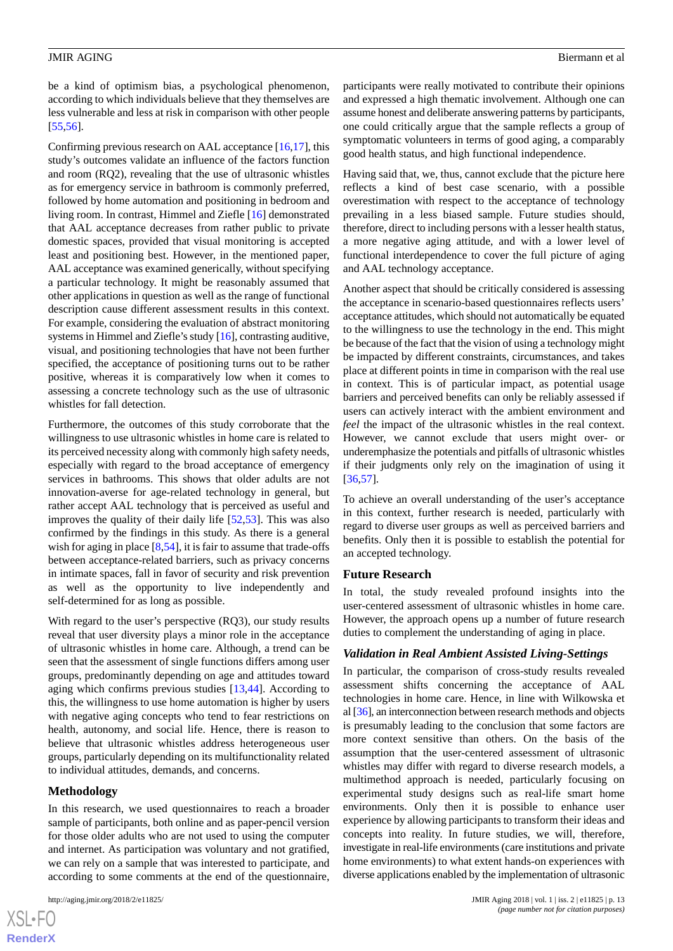be a kind of optimism bias, a psychological phenomenon, according to which individuals believe that they themselves are less vulnerable and less at risk in comparison with other people [[55](#page-15-19)[,56](#page-15-20)].

Confirming previous research on AAL acceptance [[16](#page-14-5)[,17](#page-14-6)], this study's outcomes validate an influence of the factors function and room (RQ2), revealing that the use of ultrasonic whistles as for emergency service in bathroom is commonly preferred, followed by home automation and positioning in bedroom and living room. In contrast, Himmel and Ziefle [\[16](#page-14-5)] demonstrated that AAL acceptance decreases from rather public to private domestic spaces, provided that visual monitoring is accepted least and positioning best. However, in the mentioned paper, AAL acceptance was examined generically, without specifying a particular technology. It might be reasonably assumed that other applications in question as well as the range of functional description cause different assessment results in this context. For example, considering the evaluation of abstract monitoring systems in Himmel and Ziefle's study [\[16](#page-14-5)], contrasting auditive, visual, and positioning technologies that have not been further specified, the acceptance of positioning turns out to be rather positive, whereas it is comparatively low when it comes to assessing a concrete technology such as the use of ultrasonic whistles for fall detection.

Furthermore, the outcomes of this study corroborate that the willingness to use ultrasonic whistles in home care is related to its perceived necessity along with commonly high safety needs, especially with regard to the broad acceptance of emergency services in bathrooms. This shows that older adults are not innovation-averse for age-related technology in general, but rather accept AAL technology that is perceived as useful and improves the quality of their daily life [[52,](#page-15-16)[53](#page-15-17)]. This was also confirmed by the findings in this study. As there is a general wish for aging in place [[8](#page-13-7),[54\]](#page-15-18), it is fair to assume that trade-offs between acceptance-related barriers, such as privacy concerns in intimate spaces, fall in favor of security and risk prevention as well as the opportunity to live independently and self-determined for as long as possible.

With regard to the user's perspective (RQ3), our study results reveal that user diversity plays a minor role in the acceptance of ultrasonic whistles in home care. Although, a trend can be seen that the assessment of single functions differs among user groups, predominantly depending on age and attitudes toward aging which confirms previous studies [[13,](#page-14-2)[44](#page-15-6)]. According to this, the willingness to use home automation is higher by users with negative aging concepts who tend to fear restrictions on health, autonomy, and social life. Hence, there is reason to believe that ultrasonic whistles address heterogeneous user groups, particularly depending on its multifunctionality related to individual attitudes, demands, and concerns.

## **Methodology**

In this research, we used questionnaires to reach a broader sample of participants, both online and as paper-pencil version for those older adults who are not used to using the computer and internet. As participation was voluntary and not gratified, we can rely on a sample that was interested to participate, and according to some comments at the end of the questionnaire,

participants were really motivated to contribute their opinions and expressed a high thematic involvement. Although one can assume honest and deliberate answering patterns by participants, one could critically argue that the sample reflects a group of symptomatic volunteers in terms of good aging, a comparably good health status, and high functional independence.

Having said that, we, thus, cannot exclude that the picture here reflects a kind of best case scenario, with a possible overestimation with respect to the acceptance of technology prevailing in a less biased sample. Future studies should, therefore, direct to including persons with a lesser health status, a more negative aging attitude, and with a lower level of functional interdependence to cover the full picture of aging and AAL technology acceptance.

Another aspect that should be critically considered is assessing the acceptance in scenario-based questionnaires reflects users' acceptance attitudes, which should not automatically be equated to the willingness to use the technology in the end. This might be because of the fact that the vision of using a technology might be impacted by different constraints, circumstances, and takes place at different points in time in comparison with the real use in context. This is of particular impact, as potential usage barriers and perceived benefits can only be reliably assessed if users can actively interact with the ambient environment and *feel* the impact of the ultrasonic whistles in the real context. However, we cannot exclude that users might over- or underemphasize the potentials and pitfalls of ultrasonic whistles if their judgments only rely on the imagination of using it [[36,](#page-15-0)[57\]](#page-15-21).

To achieve an overall understanding of the user's acceptance in this context, further research is needed, particularly with regard to diverse user groups as well as perceived barriers and benefits. Only then it is possible to establish the potential for an accepted technology.

### **Future Research**

In total, the study revealed profound insights into the user-centered assessment of ultrasonic whistles in home care. However, the approach opens up a number of future research duties to complement the understanding of aging in place.

### *Validation in Real Ambient Assisted Living-Settings*

In particular, the comparison of cross-study results revealed assessment shifts concerning the acceptance of AAL technologies in home care. Hence, in line with Wilkowska et al [[36](#page-15-0)], an interconnection between research methods and objects is presumably leading to the conclusion that some factors are more context sensitive than others. On the basis of the assumption that the user-centered assessment of ultrasonic whistles may differ with regard to diverse research models, a multimethod approach is needed, particularly focusing on experimental study designs such as real-life smart home environments. Only then it is possible to enhance user experience by allowing participants to transform their ideas and concepts into reality. In future studies, we will, therefore, investigate in real-life environments (care institutions and private home environments) to what extent hands-on experiences with diverse applications enabled by the implementation of ultrasonic

 $XS$ -FO **[RenderX](http://www.renderx.com/)**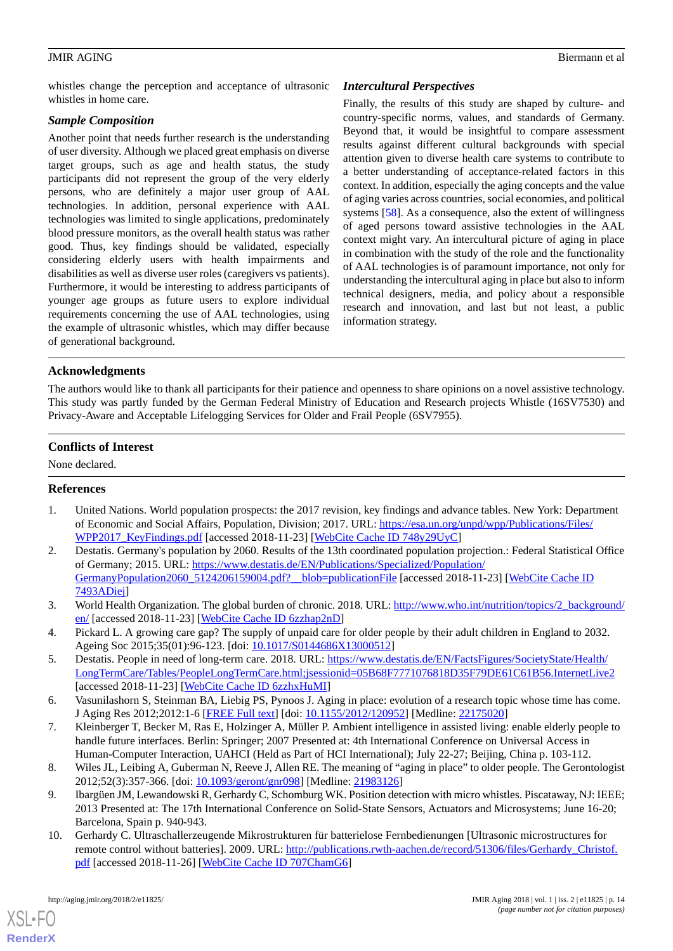whistles change the perception and acceptance of ultrasonic whistles in home care.

## *Sample Composition*

Another point that needs further research is the understanding of user diversity. Although we placed great emphasis on diverse target groups, such as age and health status, the study participants did not represent the group of the very elderly persons, who are definitely a major user group of AAL technologies. In addition, personal experience with AAL technologies was limited to single applications, predominately blood pressure monitors, as the overall health status was rather good. Thus, key findings should be validated, especially considering elderly users with health impairments and disabilities as well as diverse user roles (caregivers vs patients). Furthermore, it would be interesting to address participants of younger age groups as future users to explore individual requirements concerning the use of AAL technologies, using the example of ultrasonic whistles, which may differ because of generational background.

## *Intercultural Perspectives*

Finally, the results of this study are shaped by culture- and country-specific norms, values, and standards of Germany. Beyond that, it would be insightful to compare assessment results against different cultural backgrounds with special attention given to diverse health care systems to contribute to a better understanding of acceptance-related factors in this context. In addition, especially the aging concepts and the value of aging varies across countries, social economies, and political systems [\[58](#page-16-0)]. As a consequence, also the extent of willingness of aged persons toward assistive technologies in the AAL context might vary. An intercultural picture of aging in place in combination with the study of the role and the functionality of AAL technologies is of paramount importance, not only for understanding the intercultural aging in place but also to inform technical designers, media, and policy about a responsible research and innovation, and last but not least, a public information strategy.

## **Acknowledgments**

The authors would like to thank all participants for their patience and openness to share opinions on a novel assistive technology. This study was partly funded by the German Federal Ministry of Education and Research projects Whistle (16SV7530) and Privacy-Aware and Acceptable Lifelogging Services for Older and Frail People (6SV7955).

## **Conflicts of Interest**

<span id="page-13-0"></span>None declared.

## <span id="page-13-1"></span>**References**

- 1. United Nations. World population prospects: the 2017 revision, key findings and advance tables. New York: Department of Economic and Social Affairs, Population, Division; 2017. URL: [https://esa.un.org/unpd/wpp/Publications/Files/](https://esa.un.org/unpd/wpp/Publications/Files/WPP2017_KeyFindings.pdf) [WPP2017\\_KeyFindings.pdf](https://esa.un.org/unpd/wpp/Publications/Files/WPP2017_KeyFindings.pdf) [accessed 2018-11-23] [\[WebCite Cache ID 748y29UyC\]](http://www.webcitation.org/

                                            748y29UyC)
- <span id="page-13-3"></span><span id="page-13-2"></span>2. Destatis. Germany's population by 2060. Results of the 13th coordinated population projection.: Federal Statistical Office of Germany; 2015. URL: [https://www.destatis.de/EN/Publications/Specialized/Population/](https://www.destatis.de/EN/Publications/Specialized/Population/GermanyPopulation2060_5124206159004.pdf?__blob=publicationFile) [GermanyPopulation2060\\_5124206159004.pdf?\\_\\_blob=publicationFile](https://www.destatis.de/EN/Publications/Specialized/Population/GermanyPopulation2060_5124206159004.pdf?__blob=publicationFile) [accessed 2018-11-23] [\[WebCite Cache ID](http://www.webcitation.org/

                                            7493ADiej) [7493ADiej\]](http://www.webcitation.org/

                                            7493ADiej)
- <span id="page-13-4"></span>3. World Health Organization. The global burden of chronic. 2018. URL: [http://www.who.int/nutrition/topics/2\\_background/](http://www.who.int/nutrition/topics/2_background/en/) [en/](http://www.who.int/nutrition/topics/2_background/en/) [accessed 2018-11-23] [[WebCite Cache ID 6zzhap2nD](http://www.webcitation.org/

                                            6zzhap2nD)]
- <span id="page-13-5"></span>4. Pickard L. A growing care gap? The supply of unpaid care for older people by their adult children in England to 2032. Ageing Soc 2015;35(01):96-123. [doi: [10.1017/S0144686X13000512\]](http://dx.doi.org/10.1017/S0144686X13000512)
- <span id="page-13-6"></span>5. Destatis. People in need of long-term care. 2018. URL: [https://www.destatis.de/EN/FactsFigures/SocietyState/Health/](https://www.destatis.de/EN/FactsFigures/SocietyState/Health/LongTermCare/Tables/PeopleLongTermCare.html;jsessionid=05B68F7771076818D35F79DE61C61B56.InternetLive2) [LongTermCare/Tables/PeopleLongTermCare.html;jsessionid=05B68F7771076818D35F79DE61C61B56.InternetLive2](https://www.destatis.de/EN/FactsFigures/SocietyState/Health/LongTermCare/Tables/PeopleLongTermCare.html;jsessionid=05B68F7771076818D35F79DE61C61B56.InternetLive2) [accessed 2018-11-23] [\[WebCite Cache ID 6zzhxHuMI](http://www.webcitation.org/

                                            6zzhxHuMI)]
- <span id="page-13-7"></span>6. Vasunilashorn S, Steinman BA, Liebig PS, Pynoos J. Aging in place: evolution of a research topic whose time has come. J Aging Res 2012;2012:1-6 [[FREE Full text](https://dx.doi.org/10.1155/2012/120952)] [doi: [10.1155/2012/120952](http://dx.doi.org/10.1155/2012/120952)] [Medline: [22175020](http://www.ncbi.nlm.nih.gov/entrez/query.fcgi?cmd=Retrieve&db=PubMed&list_uids=22175020&dopt=Abstract)]
- <span id="page-13-8"></span>7. Kleinberger T, Becker M, Ras E, Holzinger A, Müller P. Ambient intelligence in assisted living: enable elderly people to handle future interfaces. Berlin: Springer; 2007 Presented at: 4th International Conference on Universal Access in Human-Computer Interaction, UAHCI (Held as Part of HCI International); July 22-27; Beijing, China p. 103-112.
- <span id="page-13-9"></span>8. Wiles JL, Leibing A, Guberman N, Reeve J, Allen RE. The meaning of "aging in place" to older people. The Gerontologist 2012;52(3):357-366. [doi: [10.1093/geront/gnr098](http://dx.doi.org/10.1093/geront/gnr098)] [Medline: [21983126](http://www.ncbi.nlm.nih.gov/entrez/query.fcgi?cmd=Retrieve&db=PubMed&list_uids=21983126&dopt=Abstract)]
- 9. Ibargüen JM, Lewandowski R, Gerhardy C, Schomburg WK. Position detection with micro whistles. Piscataway, NJ: IEEE; 2013 Presented at: The 17th International Conference on Solid-State Sensors, Actuators and Microsystems; June 16-20; Barcelona, Spain p. 940-943.
- 10. Gerhardy C. Ultraschallerzeugende Mikrostrukturen für batterielose Fernbedienungen [Ultrasonic microstructures for remote control without batteries]. 2009. URL: http://publications.rwth-aachen.de/record/51306/files/Gerhardy Christof. [pdf](http://publications.rwth-aachen.de/record/51306/files/Gerhardy_Christof.pdf) [accessed 2018-11-26] [[WebCite Cache ID 707ChamG6\]](http://www.webcitation.org/

                                            707ChamG6)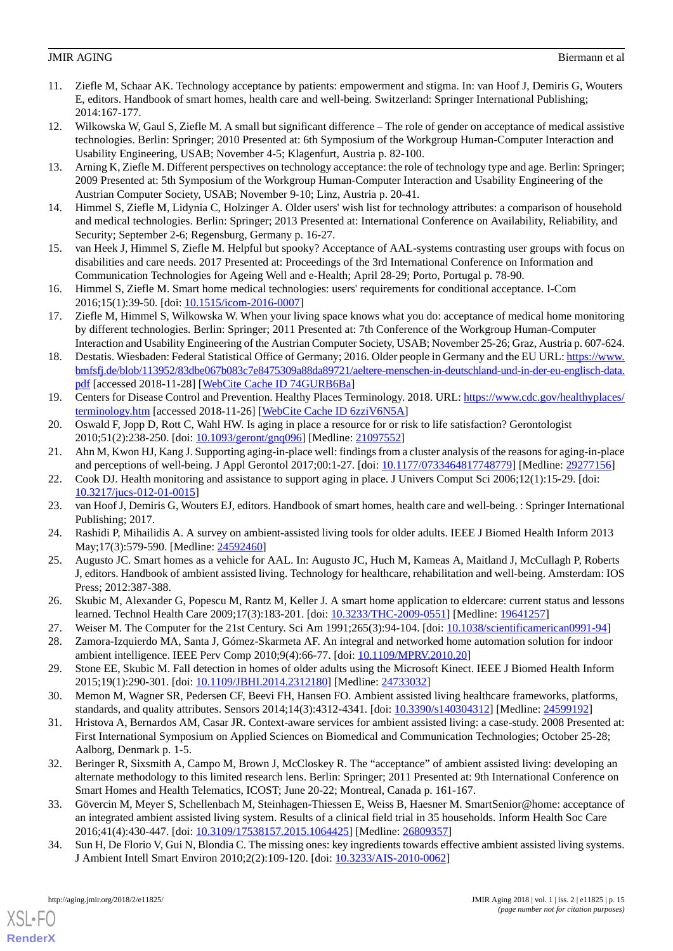- <span id="page-14-0"></span>11. Ziefle M, Schaar AK. Technology acceptance by patients: empowerment and stigma. In: van Hoof J, Demiris G, Wouters E, editors. Handbook of smart homes, health care and well-being. Switzerland: Springer International Publishing; 2014:167-177.
- <span id="page-14-1"></span>12. Wilkowska W, Gaul S, Ziefle M. A small but significant difference – The role of gender on acceptance of medical assistive technologies. Berlin: Springer; 2010 Presented at: 6th Symposium of the Workgroup Human-Computer Interaction and Usability Engineering, USAB; November 4-5; Klagenfurt, Austria p. 82-100.
- <span id="page-14-2"></span>13. Arning K, Ziefle M. Different perspectives on technology acceptance: the role of technology type and age. Berlin: Springer; 2009 Presented at: 5th Symposium of the Workgroup Human-Computer Interaction and Usability Engineering of the Austrian Computer Society, USAB; November 9-10; Linz, Austria p. 20-41.
- <span id="page-14-4"></span><span id="page-14-3"></span>14. Himmel S, Ziefle M, Lidynia C, Holzinger A. Older users' wish list for technology attributes: a comparison of household and medical technologies. Berlin: Springer; 2013 Presented at: International Conference on Availability, Reliability, and Security; September 2-6; Regensburg, Germany p. 16-27.
- <span id="page-14-5"></span>15. van Heek J, Himmel S, Ziefle M. Helpful but spooky? Acceptance of AAL-systems contrasting user groups with focus on disabilities and care needs. 2017 Presented at: Proceedings of the 3rd International Conference on Information and Communication Technologies for Ageing Well and e-Health; April 28-29; Porto, Portugal p. 78-90.
- <span id="page-14-6"></span>16. Himmel S, Ziefle M. Smart home medical technologies: users' requirements for conditional acceptance. I-Com 2016;15(1):39-50. [doi: [10.1515/icom-2016-0007](http://dx.doi.org/10.1515/icom-2016-0007)]
- <span id="page-14-7"></span>17. Ziefle M, Himmel S, Wilkowska W. When your living space knows what you do: acceptance of medical home monitoring by different technologies. Berlin: Springer; 2011 Presented at: 7th Conference of the Workgroup Human-Computer Interaction and Usability Engineering of the Austrian Computer Society, USAB; November 25-26; Graz, Austria p. 607-624.
- <span id="page-14-8"></span>18. Destatis. Wiesbaden: Federal Statistical Office of Germany; 2016. Older people in Germany and the EU URL: [https://www.](https://www.bmfsfj.de/blob/113952/83dbe067b083c7e8475309a88da89721/aeltere-menschen-in-deutschland-und-in-der-eu-englisch-data.pdf) [bmfsfj.de/blob/113952/83dbe067b083c7e8475309a88da89721/aeltere-menschen-in-deutschland-und-in-der-eu-englisch-data.](https://www.bmfsfj.de/blob/113952/83dbe067b083c7e8475309a88da89721/aeltere-menschen-in-deutschland-und-in-der-eu-englisch-data.pdf) [pdf](https://www.bmfsfj.de/blob/113952/83dbe067b083c7e8475309a88da89721/aeltere-menschen-in-deutschland-und-in-der-eu-englisch-data.pdf) [accessed 2018-11-28] [[WebCite Cache ID 74GURB6Ba\]](http://www.webcitation.org/

                                            74GURB6Ba)
- <span id="page-14-10"></span><span id="page-14-9"></span>19. Centers for Disease Control and Prevention. Healthy Places Terminology. 2018. URL: [https://www.cdc.gov/healthyplaces/](https://www.cdc.gov/healthyplaces/terminology.htm) [terminology.htm](https://www.cdc.gov/healthyplaces/terminology.htm) [accessed 2018-11-26] [[WebCite Cache ID 6zziV6N5A](http://www.webcitation.org/

                                            6zziV6N5A)]
- <span id="page-14-11"></span>20. Oswald F, Jopp D, Rott C, Wahl HW. Is aging in place a resource for or risk to life satisfaction? Gerontologist 2010;51(2):238-250. [doi: [10.1093/geront/gnq096](http://dx.doi.org/10.1093/geront/gnq096)] [Medline: [21097552\]](http://www.ncbi.nlm.nih.gov/entrez/query.fcgi?cmd=Retrieve&db=PubMed&list_uids=21097552&dopt=Abstract)
- <span id="page-14-12"></span>21. Ahn M, Kwon HJ, Kang J. Supporting aging-in-place well: findings from a cluster analysis of the reasons for aging-in-place and perceptions of well-being. J Appl Gerontol 2017;00:1-27. [doi: [10.1177/0733464817748779](http://dx.doi.org/10.1177/0733464817748779)] [Medline: [29277156\]](http://www.ncbi.nlm.nih.gov/entrez/query.fcgi?cmd=Retrieve&db=PubMed&list_uids=29277156&dopt=Abstract)
- <span id="page-14-13"></span>22. Cook DJ. Health monitoring and assistance to support aging in place. J Univers Comput Sci 2006;12(1):15-29. [doi: [10.3217/jucs-012-01-0015\]](http://dx.doi.org/10.3217/jucs-012-01-0015)
- <span id="page-14-14"></span>23. van Hoof J, Demiris G, Wouters EJ, editors. Handbook of smart homes, health care and well-being. : Springer International Publishing; 2017.
- <span id="page-14-15"></span>24. Rashidi P, Mihailidis A. A survey on ambient-assisted living tools for older adults. IEEE J Biomed Health Inform 2013 May;17(3):579-590. [Medline: [24592460](http://www.ncbi.nlm.nih.gov/entrez/query.fcgi?cmd=Retrieve&db=PubMed&list_uids=24592460&dopt=Abstract)]
- <span id="page-14-17"></span><span id="page-14-16"></span>25. Augusto JC. Smart homes as a vehicle for AAL. In: Augusto JC, Huch M, Kameas A, Maitland J, McCullagh P, Roberts J, editors. Handbook of ambient assisted living. Technology for healthcare, rehabilitation and well-being. Amsterdam: IOS Press; 2012:387-388.
- 26. Skubic M, Alexander G, Popescu M, Rantz M, Keller J. A smart home application to eldercare: current status and lessons learned. Technol Health Care 2009;17(3):183-201. [doi: [10.3233/THC-2009-0551\]](http://dx.doi.org/10.3233/THC-2009-0551) [Medline: [19641257\]](http://www.ncbi.nlm.nih.gov/entrez/query.fcgi?cmd=Retrieve&db=PubMed&list_uids=19641257&dopt=Abstract)
- 27. Weiser M. The Computer for the 21st Century. Sci Am 1991;265(3):94-104. [doi: [10.1038/scientificamerican0991-94](http://dx.doi.org/10.1038/scientificamerican0991-94)]
- <span id="page-14-18"></span>28. Zamora-Izquierdo MA, Santa J, Gómez-Skarmeta AF. An integral and networked home automation solution for indoor ambient intelligence. IEEE Perv Comp 2010;9(4):66-77. [doi: [10.1109/MPRV.2010.20](http://dx.doi.org/10.1109/MPRV.2010.20)]
- 29. Stone EE, Skubic M. Fall detection in homes of older adults using the Microsoft Kinect. IEEE J Biomed Health Inform 2015;19(1):290-301. [doi: [10.1109/JBHI.2014.2312180\]](http://dx.doi.org/10.1109/JBHI.2014.2312180) [Medline: [24733032\]](http://www.ncbi.nlm.nih.gov/entrez/query.fcgi?cmd=Retrieve&db=PubMed&list_uids=24733032&dopt=Abstract)
- <span id="page-14-19"></span>30. Memon M, Wagner SR, Pedersen CF, Beevi FH, Hansen FO. Ambient assisted living healthcare frameworks, platforms, standards, and quality attributes. Sensors 2014;14(3):4312-4341. [doi: [10.3390/s140304312](http://dx.doi.org/10.3390/s140304312)] [Medline: [24599192](http://www.ncbi.nlm.nih.gov/entrez/query.fcgi?cmd=Retrieve&db=PubMed&list_uids=24599192&dopt=Abstract)]
- <span id="page-14-20"></span>31. Hristova A, Bernardos AM, Casar JR. Context-aware services for ambient assisted living: a case-study. 2008 Presented at: First International Symposium on Applied Sciences on Biomedical and Communication Technologies; October 25-28; Aalborg, Denmark p. 1-5.
- <span id="page-14-21"></span>32. Beringer R, Sixsmith A, Campo M, Brown J, McCloskey R. The "acceptance" of ambient assisted living: developing an alternate methodology to this limited research lens. Berlin: Springer; 2011 Presented at: 9th International Conference on Smart Homes and Health Telematics, ICOST; June 20-22; Montreal, Canada p. 161-167.
- 33. Gövercin M, Meyer S, Schellenbach M, Steinhagen-Thiessen E, Weiss B, Haesner M. SmartSenior@home: acceptance of an integrated ambient assisted living system. Results of a clinical field trial in 35 households. Inform Health Soc Care 2016;41(4):430-447. [doi: [10.3109/17538157.2015.1064425\]](http://dx.doi.org/10.3109/17538157.2015.1064425) [Medline: [26809357](http://www.ncbi.nlm.nih.gov/entrez/query.fcgi?cmd=Retrieve&db=PubMed&list_uids=26809357&dopt=Abstract)]
- 34. Sun H, De Florio V, Gui N, Blondia C. The missing ones: key ingredients towards effective ambient assisted living systems. J Ambient Intell Smart Environ 2010;2(2):109-120. [doi: [10.3233/AIS-2010-0062\]](http://dx.doi.org/10.3233/AIS-2010-0062)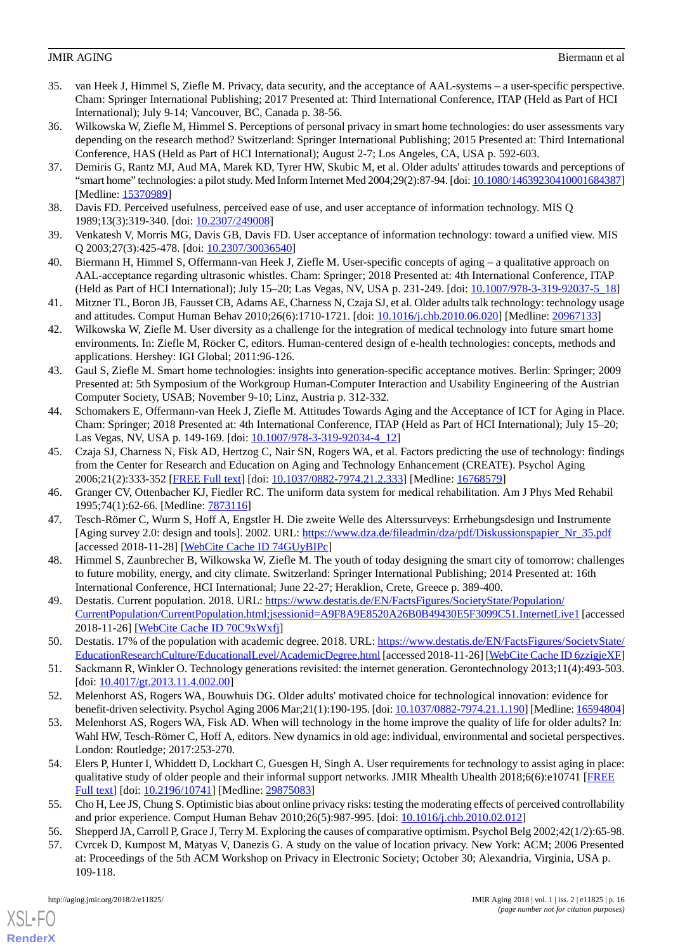- 35. van Heek J, Himmel S, Ziefle M. Privacy, data security, and the acceptance of AAL-systems a user-specific perspective. Cham: Springer International Publishing; 2017 Presented at: Third International Conference, ITAP (Held as Part of HCI International); July 9-14; Vancouver, BC, Canada p. 38-56.
- <span id="page-15-0"></span>36. Wilkowska W, Ziefle M, Himmel S. Perceptions of personal privacy in smart home technologies: do user assessments vary depending on the research method? Switzerland: Springer International Publishing; 2015 Presented at: Third International Conference, HAS (Held as Part of HCI International); August 2-7; Los Angeles, CA, USA p. 592-603.
- <span id="page-15-2"></span><span id="page-15-1"></span>37. Demiris G, Rantz MJ, Aud MA, Marek KD, Tyrer HW, Skubic M, et al. Older adults' attitudes towards and perceptions of "smart home" technologies: a pilot study. Med Inform Internet Med 2004;29(2):87-94. [doi: [10.1080/14639230410001684387\]](http://dx.doi.org/10.1080/14639230410001684387) [Medline: [15370989](http://www.ncbi.nlm.nih.gov/entrez/query.fcgi?cmd=Retrieve&db=PubMed&list_uids=15370989&dopt=Abstract)]
- <span id="page-15-3"></span>38. Davis FD. Perceived usefulness, perceived ease of use, and user acceptance of information technology. MIS Q 1989;13(3):319-340. [doi: [10.2307/249008\]](http://dx.doi.org/10.2307/249008)
- <span id="page-15-4"></span>39. Venkatesh V, Morris MG, Davis GB, Davis FD. User acceptance of information technology: toward a unified view. MIS Q 2003;27(3):425-478. [doi: [10.2307/30036540](http://dx.doi.org/10.2307/30036540)]
- <span id="page-15-5"></span>40. Biermann H, Himmel S, Offermann-van Heek J, Ziefle M. User-specific concepts of aging – a qualitative approach on AAL-acceptance regarding ultrasonic whistles. Cham: Springer; 2018 Presented at: 4th International Conference, ITAP (Held as Part of HCI International); July 15-20; Las Vegas, NV, USA p. 231-249. [doi: [10.1007/978-3-319-92037-5\\_18](http://dx.doi.org/10.1007/978-3-319-92037-5_18)]
- <span id="page-15-7"></span>41. Mitzner TL, Boron JB, Fausset CB, Adams AE, Charness N, Czaja SJ, et al. Older adults talk technology: technology usage and attitudes. Comput Human Behav 2010;26(6):1710-1721. [doi: [10.1016/j.chb.2010.06.020\]](http://dx.doi.org/10.1016/j.chb.2010.06.020) [Medline: [20967133\]](http://www.ncbi.nlm.nih.gov/entrez/query.fcgi?cmd=Retrieve&db=PubMed&list_uids=20967133&dopt=Abstract)
- <span id="page-15-8"></span>42. Wilkowska W, Ziefle M. User diversity as a challenge for the integration of medical technology into future smart home environments. In: Ziefle M, Röcker C, editors. Human-centered design of e-health technologies: concepts, methods and applications. Hershey: IGI Global; 2011:96-126.
- <span id="page-15-6"></span>43. Gaul S, Ziefle M. Smart home technologies: insights into generation-specific acceptance motives. Berlin: Springer; 2009 Presented at: 5th Symposium of the Workgroup Human-Computer Interaction and Usability Engineering of the Austrian Computer Society, USAB; November 9-10; Linz, Austria p. 312-332.
- <span id="page-15-9"></span>44. Schomakers E, Offermann-van Heek J, Ziefle M. Attitudes Towards Aging and the Acceptance of ICT for Aging in Place. Cham: Springer; 2018 Presented at: 4th International Conference, ITAP (Held as Part of HCI International); July 15–20; Las Vegas, NV, USA p. 149-169. [doi: [10.1007/978-3-319-92034-4\\_12](http://dx.doi.org/10.1007/978-3-319-92034-4_12)]
- <span id="page-15-12"></span><span id="page-15-10"></span>45. Czaja SJ, Charness N, Fisk AD, Hertzog C, Nair SN, Rogers WA, et al. Factors predicting the use of technology: findings from the Center for Research and Education on Aging and Technology Enhancement (CREATE). Psychol Aging 2006;21(2):333-352 [[FREE Full text](http://europepmc.org/abstract/MED/16768579)] [doi: [10.1037/0882-7974.21.2.333\]](http://dx.doi.org/10.1037/0882-7974.21.2.333) [Medline: [16768579](http://www.ncbi.nlm.nih.gov/entrez/query.fcgi?cmd=Retrieve&db=PubMed&list_uids=16768579&dopt=Abstract)]
- <span id="page-15-11"></span>46. Granger CV, Ottenbacher KJ, Fiedler RC. The uniform data system for medical rehabilitation. Am J Phys Med Rehabil 1995;74(1):62-66. [Medline: [7873116](http://www.ncbi.nlm.nih.gov/entrez/query.fcgi?cmd=Retrieve&db=PubMed&list_uids=7873116&dopt=Abstract)]
- 47. Tesch-Römer C, Wurm S, Hoff A, Engstler H. Die zweite Welle des Alterssurveys: Errhebungsdesign und Instrumente [Aging survey 2.0: design and tools]. 2002. URL: [https://www.dza.de/fileadmin/dza/pdf/Diskussionspapier\\_Nr\\_35.pdf](https://www.dza.de/fileadmin/dza/pdf/Diskussionspapier_Nr_35.pdf) [accessed 2018-11-28] [\[WebCite Cache ID 74GUyBIPc](http://www.webcitation.org/

                                            74GUyBIPc)]
- <span id="page-15-14"></span><span id="page-15-13"></span>48. Himmel S, Zaunbrecher B, Wilkowska W, Ziefle M. The youth of today designing the smart city of tomorrow: challenges to future mobility, energy, and city climate. Switzerland: Springer International Publishing; 2014 Presented at: 16th International Conference, HCI International; June 22-27; Heraklion, Crete, Greece p. 389-400.
- <span id="page-15-15"></span>49. Destatis. Current population. 2018. URL: [https://www.destatis.de/EN/FactsFigures/SocietyState/Population/](https://www.destatis.de/EN/FactsFigures/SocietyState/Population/CurrentPopulation/CurrentPopulation.html;jsessionid=A9F8A9E8520A26B0B49430E5F3099C51.InternetLive1) [CurrentPopulation/CurrentPopulation.html;jsessionid=A9F8A9E8520A26B0B49430E5F3099C51.InternetLive1](https://www.destatis.de/EN/FactsFigures/SocietyState/Population/CurrentPopulation/CurrentPopulation.html;jsessionid=A9F8A9E8520A26B0B49430E5F3099C51.InternetLive1) [accessed 2018-11-26] [\[WebCite Cache ID 70C9xWxfj](http://www.webcitation.org/

                                            70C9xWxfj)]
- <span id="page-15-17"></span><span id="page-15-16"></span>50. Destatis. 17% of the population with academic degree. 2018. URL: [https://www.destatis.de/EN/FactsFigures/SocietyState/](https://www.destatis.de/EN/FactsFigures/SocietyState/EducationResearchCulture/EducationalLevel/AcademicDegree.html) [EducationResearchCulture/EducationalLevel/AcademicDegree.html](https://www.destatis.de/EN/FactsFigures/SocietyState/EducationResearchCulture/EducationalLevel/AcademicDegree.html) [accessed 2018-11-26] [[WebCite Cache ID 6zzigjeXF\]](http://www.webcitation.org/

                                            6zzigjeXF)
- 51. Sackmann R, Winkler O. Technology generations revisited: the internet generation. Gerontechnology 2013;11(4):493-503. [doi: [10.4017/gt.2013.11.4.002.00\]](http://dx.doi.org/10.4017/gt.2013.11.4.002.00)
- <span id="page-15-18"></span>52. Melenhorst AS, Rogers WA, Bouwhuis DG. Older adults' motivated choice for technological innovation: evidence for benefit-driven selectivity. Psychol Aging 2006 Mar;21(1):190-195. [doi: [10.1037/0882-7974.21.1.190](http://dx.doi.org/10.1037/0882-7974.21.1.190)] [Medline: [16594804\]](http://www.ncbi.nlm.nih.gov/entrez/query.fcgi?cmd=Retrieve&db=PubMed&list_uids=16594804&dopt=Abstract)
- <span id="page-15-19"></span>53. Melenhorst AS, Rogers WA, Fisk AD. When will technology in the home improve the quality of life for older adults? In: Wahl HW, Tesch-Römer C, Hoff A, editors. New dynamics in old age: individual, environmental and societal perspectives. London: Routledge; 2017:253-270.
- <span id="page-15-21"></span><span id="page-15-20"></span>54. Elers P, Hunter I, Whiddett D, Lockhart C, Guesgen H, Singh A. User requirements for technology to assist aging in place: qualitative study of older people and their informal support networks. JMIR Mhealth Uhealth 2018;6(6):e10741 [[FREE](http://mhealth.jmir.org/2018/6/e10741/) [Full text\]](http://mhealth.jmir.org/2018/6/e10741/) [doi: [10.2196/10741\]](http://dx.doi.org/10.2196/10741) [Medline: [29875083](http://www.ncbi.nlm.nih.gov/entrez/query.fcgi?cmd=Retrieve&db=PubMed&list_uids=29875083&dopt=Abstract)]
- 55. Cho H, Lee JS, Chung S. Optimistic bias about online privacy risks: testing the moderating effects of perceived controllability and prior experience. Comput Human Behav 2010;26(5):987-995. [doi: [10.1016/j.chb.2010.02.012](http://dx.doi.org/10.1016/j.chb.2010.02.012)]
- 56. Shepperd JA, Carroll P, Grace J, Terry M. Exploring the causes of comparative optimism. Psychol Belg 2002;42(1/2):65-98.
- 57. Cvrcek D, Kumpost M, Matyas V, Danezis G. A study on the value of location privacy. New York: ACM; 2006 Presented at: Proceedings of the 5th ACM Workshop on Privacy in Electronic Society; October 30; Alexandria, Virginia, USA p. 109-118.